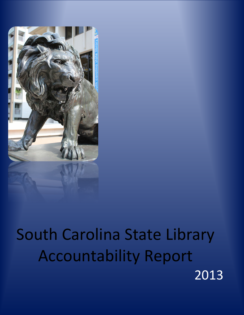

# South Carolina State Library Accountability Report 2013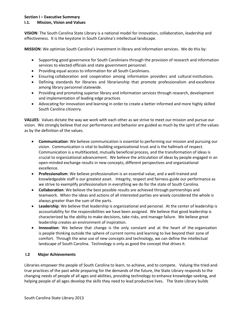# **Section I – Executive Summary**

# **I.1. Mission, Vision and Values**

**VISION**: The South Carolina State Library is a national model for innovation, collaboration, leadership and effectiveness. It is the keystone in South Carolina's intellectual landscape.

**MISSION**: We optimize South Carolina's investment in library and information services. We do this by:

- Supporting good governance for South Carolinians through the provision of research and information services to elected officials and state government personnel.
- Providing equal access to information for all South Carolinians.
- Ensuring collaboration and cooperation among information providers and cultural institutions.
- Defining standards for libraries and librarianship that promote professionalism and excellence among library personnel statewide.
- Providing and promoting superior library and information services through research, development and implementation of leading edge practices
- Advocating for innovation and learning in order to create a better informed and more highly skilled South Carolina citizenry.

**VALUES**: Values dictate the way we work with each other as we strive to meet our mission and pursue our vision. We strongly believe that our performance and behavior are guided as much by the spirit of the values as by the definition of the values.

- **Communication**: We believe communication is essential to performing our mission and pursuing our vision. Communication is vital to building organizational trust and is the hallmark of respect. Communication is a multifaceted, mutually beneficial process, and the transformation of ideas is crucial to organizational advancement. We believe the articulation of ideas by people engaged in an open-minded exchange results in new concepts, different perspectives and organizational excellence.
- **Professionalism**: We believe professionalism is an essential value, and a well-trained and knowledgeable staff is our greatest asset. Integrity, respect and fairness guide our performance as we strive to exemplify professionalism in everything we do for the state of South Carolina.
- **Collaboration**: We believe the best possible results are achieved through partnerships and teamwork. When the ideas and actions of all interested parties are wisely considered the whole is always greater than the sum of the parts.
- **Leadership**: We believe that leadership is organizational and personal. At the center of leadership is accountability for the responsibilities we have been assigned. We believe that good leadership is characterized by the ability to make decisions, take risks, and manage failure. We believe great leadership creates an environment of inspiration.
- **Innovation**: We believe that change is the only constant and at the heart of the organization is people thinking outside the sphere of current norms and learning to live beyond their zone of comfort. Through the wise use of new concepts and technology, we can define the intellectual landscape of South Carolina. Technology is only as good the concept that drives it.

# **I.2 Major Achievements**

Libraries empower the people of South Carolina to learn, to achieve, and to compete. Valuing the tried-andtrue practices of the past while preparing for the demands of the future, the State Library responds to the changing needs of people of all ages and abilities, providing technology to enhance knowledge-seeking, and helping people of all ages develop the skills they need to lead productive lives. The State Library builds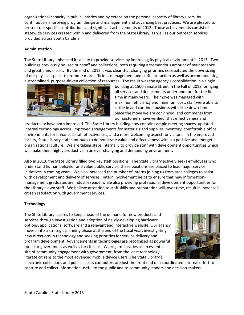organizational capacity in public libraries and by extension the personal capacity of library users, by continuously improving program design and management and advancing best practices. We are pleased to present our specific contributions and significant achievements of 2013. Those achievements consist of statewide services created within and delivered from the State Library, as well as our outreach services provided across South Carolina.

# **Administration**

The State Library enhanced its ability to provide services by improving its physical environment in 2013. Two buildings previously housed our staff and collections, both requiring a tremendous amount of maintenance and great annual cost. By the end of 2012 it was clear that changing priorities necessitated the downsizing of our physical space to promote more efficient management and staff interaction as well as accommodating a streamlined, purpose-driven collection of resources. The result was the agency's consolidation in a single



building at 1500 Senate Street in the Fall of 2012, bringing all services and departments under one roof for the first time in many years. The move was managed with maximum efficiency and minimum cost; staff were able to settle in and continue business with little down-time. Since the move we are convinced, and comments from our customers have verified, that effectiveness and

productivity have both improved. The State Library building now contains ample meeting spaces, updated internal technology access, improved arrangements for materials and supplies inventory, comfortable office environments for enhanced staff effectiveness, and a more welcoming aspect for visitors. In the improved facility, State Library staff continues to demonstrate value and effectiveness within a positive and energetic organizational culture. We are taking steps internally to provide staff with development opportunities which will make them highly productive in an ever changing and demanding environment.

Also in 2013, the State Library filled two key staff positions. The State Library actively seeks employees who understand human behavior and value public service; these positions are placed to lead major service initiatives in coming years. We also increased the number of interns joining us from area colleges to assist with development and delivery of services. Intern involvement helps to ensure that new informationmanagement graduates are industry ready, while also providing professional development opportunities for the Library's own staff. We believe attention to staff skills and preparation will, over time, result in increased citizen satisfaction with government services.

#### **Technology**

The State Library aspires to keep ahead of the demand for new products and services through investigation and adoption of newly-developing hardware options, applications, software and a relevant and interactive website. Our agency moved into a strategic planning phase at the end of the fiscal year, investigating new directions in technology and seeking priorities for service delivery and program development. Advancements in technologies are recognized as powerful tools for government as well as for citizens. We regard libraries as an essential site of community engagement with government, from the least technologyliterate citizens to the most advanced mobile device users. The State Library's



electronic collections and public access computers are just the front end of a coordinated internal effort to capture and collect information useful to the public and to community leaders and decision-makers.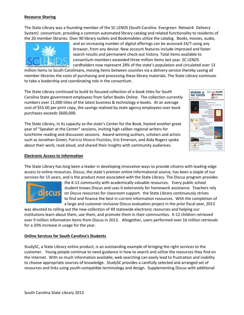#### **Resource Sharing**

The State Library was a founding member of the SC LENDS (South Carolina Evergreen Network Delivery System) consortium, providing a common automated library catalog and related functionality to residents of the 20 member libraries. Over 90 library outlets and Bookmobiles utilize the catalog. Books, movies, audio,



and an increasing number of digital offerings can be accessed 24/7 using any browser, from any device. New account features include improved and faster search results and permanent check-out history. Total items available to consortium members exceeded three million items last year. SC LENDS cardholders now represent 28% of the state's population and circulated over 13

million items to South Carolinians, moving items between counties via a delivery service thereby saving all member libraries the costs of purchasing and processing these library materials. The State Library continues to take a leadership and coordinating role in the consortium.

The State Library continued to build its focused collection of e-book titles for South Carolina State government employees from Safari Books Online. The collection currently numbers over 11,000 titles of the latest business & technology e-books. At an average cost of \$55.00 per print copy, the savings realized by state agency employees over book purchases exceeds \$600,000.

The State Library, in its capacity as the state's Center for the Book, hosted another great year of "Speaker at the Center" sessions, inviting high caliber regional writers for lunchtime reading and discussion sessions. Award-winning authors, scholars and artists such as Jonathan Green, Patricia Moore-Pastides, Eric Emerson, and Aida Rogers spoke about their work, read aloud, and shared their insights with community audiences.



#### **Electronic Access to Information**

The State Library has long been a leader in developing innovative ways to provide citizens with leading-edge access to online resources. Discus, the state's premier online informational source, has been a staple of our services for 15 years, and is the product most associated with the State Library. The Discus program provides



the K-12 community with academically valuable resources. Every public school student knows Discus and uses it extensively for homework assistance. Teachers rely on Discus resources for classroom support. the State Library continuously strives to find and finance the best in current information resources. With the completion of a large and customer-inclusive Discus evaluation project in the prior fiscal year, 2013

was devoted to rolling out the new collection of 49 statewide electronic resources and helping our institutions learn about them, use them, and promote them in their communities. K-12 children retrieved over 9 million information items from Discus in 2013. Altogether, users performed over 16 million retrievals for a 20% increase in usage for the year.

#### **Online Services for South Carolina's Students**

StudySC, a State Library online product, is an outstanding example of bringing the right services to the customer. Young people continue to need guidance in how to search and utilize the resources they find on the Internet. With so much information available, web searching can easily lead to frustration and inability to choose appropriate sources of knowledge. StudySC provides a carefully selected and arranged set of resources and links using youth-compatible terminology and design. Supplementing Discus with additional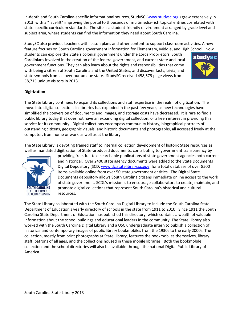in-depth and South Carolina-specific informational sources, StudySC [\(www.studysc.org](http://www.studysc.org/)) grew extensively in 2013, with a "facelift" improving the portal to thousands of multimedia-rich topical entries correlated with state-specific curriculum standards. The site is a student-friendly environment arranged by grade level and subject area, where students can find the information they need about South Carolina.

StudySC also provides teachers with lesson plans and other content to support classroom activities. A new feature focuses on South Carolina government information for Elementary, Middle, and High School. Now

students can explore the State's colonial government under the Lords Proprietors, South Carolinians involved in the creation of the federal government, and current state and local government functions. They can also learn about the rights and responsibilities that come with being a citizen of South Carolina and the United States, and discover facts, trivia, and state symbols from all over our unique state. StudySC received 458,579 page views from 58,715 unique visitors in 2013.



# **Digitization**

The State Library continues to expand its collections and staff expertise in the realm of digitization. The move into digital collections in libraries has exploded in the past few years, as new technologies have simplified the conversion of documents and images, and storage costs have decreased. It is rare to find a public library today that does not have an expanding digital collection, or a keen interest in providing this service for its community. Digital collections encompass community history, biographical portraits of outstanding citizens, geographic visuals, and historic documents and photographs, all accessed freely at the computer, from home or work as well as at the library.

The State Library is devoting trained staff to internal collection development of historic State resources as well as mandated digitization of State-produced documents, contributing to government transparency by



providing free, full-text searchable publications of state government agencies both current and historical. Over 2400 state agency documents were added to the State Documents Digital Depository (SCD[, www.dc.statelibrary.sc.gov\)](http://www.dc.statelibrary.sc.gov/) for a total database of over 8500 items available online from over 50 state government entities. The Digital State Documents depository allows South Carolina citizens immediate online access to the work of state government. SCDL's mission is to encourage collaborators to create, maintain, and promote digital collections that represent South Carolina's historical and cultural resources.

The State Library collaborated with the South Carolina Digital Library to include the South Carolina State Department of Education's yearly directory of schools in the state from 1911 to 2010. Since 1911 the South Carolina State Department of Education has published this directory, which contains a wealth of valuable information about the school buildings and educational leaders in the community. The State Library also worked with the South Carolina Digital Library and a USC undergraduate intern to publish a collection of historical and contemporary images of public library bookmobiles from the 1930s to the early 2000s. The collection, mostly from print photographs at State Library, features the bookmobiles themselves, library staff, patrons of all ages, and the collections housed in these mobile libraries. Both the bookmobile collection and the school directories will also be available through the national Digital Public Library of America.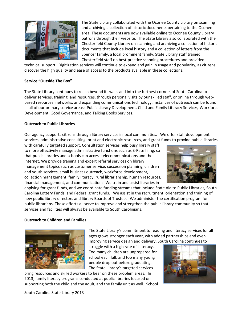

The State Library collaborated with the Oconee County Library on scanning and archiving a collection of historic documents pertaining to the Oconee area. These documents are now available online to Oconee County Library patrons through their website. The State Library also collaborated with the Chesterfield County Library on scanning and archiving a collection of historic documents that include local history and a collection of letters from the Spencer family, a local prominent family. State Library staff trained Chesterfield staff on best-practice scanning procedures and provided

technical support. Digitization services will continue to expand and gain in usage and popularity, as citizens discover the high quality and ease of access to the products available in these collections.

# **Service "Outside The Box"**

The State Library continues to reach beyond its walls and into the furthest corners of South Carolina to deliver services, training, and resources, through personal visits by our skilled staff, or online through webbased resources, networks, and expanding communications technology. Instances of outreach can be found in all of our primary service areas: Public Library Development, Child and Family Literacy Services, Workforce Development, Good Governance, and Talking Books Services.

#### **Outreach to Public Libraries**

Our agency supports citizens through library services in local communities. We offer staff development services, administrative consulting, print and electronic resources, and grant funds to provide public libraries

with carefully targeted support. Consultation services help busy library staff to more effectively manage administrative functions such as E-Rate filing, so that public libraries and schools can access telecommunications and the Internet. We provide training and expert referral services on library management topics such as customer service, succession planning, children and youth services, small business outreach, workforce development, collection management, family literacy, rural librarianship, human resources, financial management, and communications. We train and assist libraries in



applying for grant funds, and we coordinate funding streams that include State Aid to Public Libraries, South Carolina Lottery Funds, and Federal grant funds. We assist in the recruitment, orientation and training of new public library directors and library Boards of Trustee. We administer the certification program for public librarians. These efforts all serve to improve and strengthen the public library community so that services and facilities will always be available to South Carolinians.

#### **Outreach to Children and Families**



The State Library's commitment to reading and literacy services for all ages grows stronger each year, with added partnerships and everimproving service design and delivery. South Carolina continues to

struggle with a high rate of illiteracy. Too many children are unprepared for school each fall, and too many young people drop out before graduating. The State Library's targeted services

bring resources and skilled workers to bear on these problem areas.In 2013, family literacy programs conducted at public libraries focused on supporting both the child and the adult, and the family unit as well. School



South Carolina State Library 2013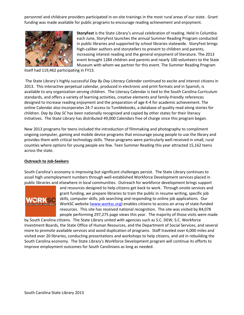personnel and childcare providers participated in on-site trainings in the most rural areas of our state. Grant funding was made available for public programs to encourage reading achievement and enjoyment.



**StoryFest** is the State Library's annual celebration of reading. Held in Columbia each June, StoryFest launches the annual Summer Reading Program conducted in public libraries and supported by school libraries statewide. StoryFest brings high-caliber authors and storytellers to present to children and parents, increasing interest reading and the general enjoyment of literature. The 2013 event brought 1284 children and parents and nearly 100 volunteers to the State Museum with whom we partner for this event. The Summer Reading Program

itself had 119,462 participating in FY13.

The State Library's highly successful *Day By Day Literacy Calendar* continued to excite and interest citizens in 2013. This interactive perpetual calendar, produced in electronic and print formats and in Spanish, is available to any organization serving children. The Literacy Calendar is tied to the South Carolina Curriculum standards, and offers a variety of learning activities, creative elements and family-friendly references designed to increase reading enjoyment and the preparation of age K-4 for academic achievement. The online Calendar also incorporates 24-7 access to Tumblebooks, a database of quality read along stories for children. *Day by Day SC* has been nationally recognized and copied by other states for their literacy initiatives. The State Library has distributed 49,000 Calendars free of charge since this program began.

New 2013 programs for teens included the introduction of filmmaking and photography to compliment ongoing computer, gaming and mobile device programs that encourage young people to use the library and provides them with critical technology skills. These programs were particularly well-received in small, rural counties where options for young people are few. Teen Summer Reading this year attracted 15,162 teens across the state.

#### **Outreach to Job-Seekers**

South Carolina's economy is improving but significant challenges persist. The State Library continues to assail high unemployment numbers through well-established Workforce Development services placed in public libraries and elsewhere in local communities. Outreach for workforce development brings support



and resources designed to help citizens get back to work. Through onsite services and grant funding, we prepare libraries to train the public in resume writing, specific job skills, computer skills, job searching and responding to online job applications. Our WorkSC website [\(www.worksc.org\)](http://www.worksc.org/) enables citizens to access an array of state-funded resources. This site has received national recognition. The site was visited by 84,078 people performing 297,275 page views this year. The majority of those visits were made

by South Carolina citizens. The State Library united with agencies such as S.C. DEW, S.C. Workforce Investment Boards, the State Office of Human Resources, and the Department of Social Services, and several more to promote available services and avoid duplication of programs. Staff traveled over 6,000 miles and visited over 20 libraries, conducting presentations and workshops to help citizens, and aid in rebuilding the South Carolina economy. The State Library's Workforce Development program will continue its efforts to improve employment outcomes for South Carolinians as long as needed.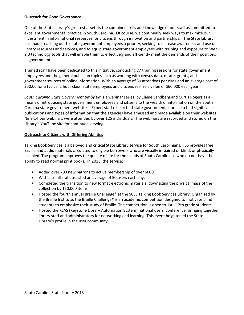## **Outreach for Good Governance**

One of the State Library's greatest assets is the combined skills and knowledge of our staff as committed to excellent governmental practice in South Carolina. Of course, we continually seek ways to maximize our investment in informational resources for citizens through innovation and partnerships. The State Library has made reaching out to state government employees a priority, seeking to increase awareness and use of library resources and services, and to equip state government employees with training and exposure to Web 2.0 technology tools that will enable them to effectively and efficiently meet the demands of their positions in government.

Trained staff have been dedicated to this initiative, conducting 77 training sessions for state government employees and the general public on topics such as working with census data, e-rate, grants, and government sources of online information. With an average of 30 attendees per class and an average cost of \$50.00 for a typical 2 hour class, state employees and citizens realize a value of \$60,000 each year.

*South Carolina State Government Bit by Bit* is a webinar series, by Elaine Sandberg and Curtis Rogers as a means of introducing state government employees and citizens to the wealth of information on the South Carolina state government websites. Expert staff researched state government sources to find significant publications and types of information that the agencies have amassed and made available on their websites. Nine 1-hour webinars were attended by over 125 individuals. The webinars are recorded and stored on the Library's YouTube site for continued viewing.

# **Outreach to Citizens with Differing Abilities**

Talking Book Services is a beloved and critical State Library service for South Carolinians. TBS provides free Braille and audio materials circulated to eligible borrowers who are visually impaired or blind, or physically disabled. The program improves the quality of life for thousands of South Carolinians who do not have the ability to read normal print books. In 2013, the service:

- Added over 700 new patrons to active membership of over 6000.
- With a small staff, assisted an average of 50 users each day.
- Completed the transition to new format electronic materials, downsizing the physical mass of the collection by 150,000 items.
- Hosted the fourth annual Braille Challenge® at the SCSL Talking Book Services Library. Organized by the Braille Institute, the Braille Challenge® is an academic competition designed to motivate blind students to emphasize their study of Braille. The competition is open to 1st - 12th grade students.
- Hosted the KLAS (Keystone Library Automation System) national users' conference, bringing together library staff and administrators for networking and learning. This event heightened the State Library's profile in the user community.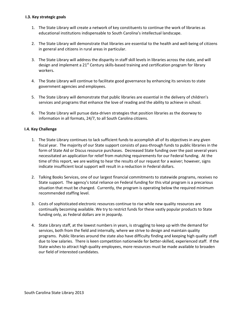#### **I.3. Key strategic goals**

- 1. The State Library will create a network of key constituents to continue the work of libraries as educational institutions indispensable to South Carolina's intellectual landscape.
- 2. The State Library will demonstrate that libraries are essential to the health and well-being of citizens in general and citizens in rural areas in particular.
- 3. The State Library will address the disparity in staff skill levels in libraries across the state, and will design and implement a 21<sup>st</sup> Century skills-based training and certification program for library workers.
- 4. The State Library will continue to facilitate good governance by enhancing its services to state government agencies and employees.
- 5. The State Library will demonstrate that public libraries are essential in the delivery of children's services and programs that enhance the love of reading and the ability to achieve in school.
- 6. The State Library will pursue data-driven strategies that position libraries as the doorway to information in all formats, 24/7, to all South Carolina citizens.

# **I.4. Key Challenge**

- 1. The State Library continues to lack sufficient funds to accomplish all of its objectives in any given fiscal year. The majority of our State support consists of pass-through funds to public libraries in the form of State Aid or Discus resource purchases. Decreased State funding over the past several years necessitated an application for relief from matching requirements for our Federal funding. At the time of this report, we are waiting to hear the results of our request for a waiver; however, signs indicate insufficient local support will result in a reduction in Federal dollars.
- 2. Talking Books Services, one of our largest financial commitments to statewide programs, receives no State support. The agency's total reliance on Federal funding for this vital program is a precarious situation that must be changed. Currently, the program is operating below the required minimum recommended staffing level.
- 3. Costs of sophisticated electronic resources continue to rise while new quality resources are continually becoming available. We try to restrict funds for these vastly popular products to State funding only, as Federal dollars are in jeopardy.
- 4. State Library staff, at the lowest numbers in years, is struggling to keep up with the demand for services, both from the field and internally, where we strive to design and maintain quality programs. Public libraries around the state also have difficulty finding and keeping high quality staff due to low salaries. There is keen competition nationwide for better-skilled, experienced staff. If the State wishes to attract high quality employees, more resources must be made available to broaden our field of interested candidates.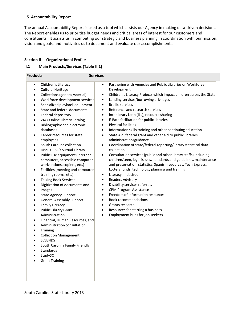#### **I.5. Accountability Report**

The annual Accountability Report is used as a tool which assists our Agency in making data-driven decisions. The Report enables us to prioritize budget needs and critical areas of interest for our customers and constituents. It assists us in competing our strategic and business planning in coordination with our mission, vision and goals, and motivates us to document and evaluate our accomplishments.

#### **Section II – Organizational Profile**

# **II.1 Main Products/Services (Table II.1)**

| <b>Products</b>                                                                                                                                                                                                                                                                                                                                                                                                                                                                                                                                                                                                                                                                                                                                                                                                                                                                                                                                                                                                                                                                                                                                                                                                                                                                                                                                                                                                                | <b>Services</b>                                                                                                                                                                                                                                                                                                                                                                                                                                                                                                                                                                                                                                                                                                                                                                                                                                                                                                                                                                                                                                                                                                                                                                                                                                                                                                                                                                                                                                       |
|--------------------------------------------------------------------------------------------------------------------------------------------------------------------------------------------------------------------------------------------------------------------------------------------------------------------------------------------------------------------------------------------------------------------------------------------------------------------------------------------------------------------------------------------------------------------------------------------------------------------------------------------------------------------------------------------------------------------------------------------------------------------------------------------------------------------------------------------------------------------------------------------------------------------------------------------------------------------------------------------------------------------------------------------------------------------------------------------------------------------------------------------------------------------------------------------------------------------------------------------------------------------------------------------------------------------------------------------------------------------------------------------------------------------------------|-------------------------------------------------------------------------------------------------------------------------------------------------------------------------------------------------------------------------------------------------------------------------------------------------------------------------------------------------------------------------------------------------------------------------------------------------------------------------------------------------------------------------------------------------------------------------------------------------------------------------------------------------------------------------------------------------------------------------------------------------------------------------------------------------------------------------------------------------------------------------------------------------------------------------------------------------------------------------------------------------------------------------------------------------------------------------------------------------------------------------------------------------------------------------------------------------------------------------------------------------------------------------------------------------------------------------------------------------------------------------------------------------------------------------------------------------------|
| Children's Literacy<br>$\bullet$<br><b>Cultural Heritage</b><br>$\bullet$<br>Collections (general/special)<br>$\bullet$<br>Workforce development services<br>$\bullet$<br>Specialized playback equipment<br>$\bullet$<br>State and federal documents<br>$\bullet$<br>Federal depository<br>$\bullet$<br>24/7 Online Library Catalog<br>$\bullet$<br><b>Bibliographic and electronic</b><br>$\bullet$<br>databases<br>Career resources for state<br>$\bullet$<br>employees<br>South Carolina collection<br>$\bullet$<br>Discus - SC's Virtual Library<br>$\bullet$<br>Public use equipment (Internet<br>$\bullet$<br>computers, accessible computer<br>workstations, copiers, etc.)<br>Facilities (meeting and computer<br>$\bullet$<br>training rooms, etc.)<br><b>Talking Book Services</b><br>$\bullet$<br>Digitization of documents and<br>$\bullet$<br>images<br>$\bullet$<br><b>State Agency Support</b><br>$\bullet$<br><b>General Assembly Support</b><br>$\bullet$<br><b>Family Literacy</b><br>$\bullet$<br>Public Library Grant<br>$\bullet$<br>Administration<br>Financial, Human Resources, and<br>$\bullet$<br>Administration consultation<br>$\bullet$<br><b>Training</b><br>$\bullet$<br><b>Collection Management</b><br>$\bullet$<br><b>SCLENDS</b><br>$\bullet$<br>South Carolina Family Friendly<br>$\bullet$<br><b>Standards</b><br>$\bullet$<br>StudySC<br>$\bullet$<br><b>Grant Training</b><br>$\bullet$ | Partnering with Agencies and Public Libraries on Workforce<br>$\bullet$<br>Development<br>Children's Literacy Projects which impact children across the State<br>$\bullet$<br>Lending services/borrowing privileges<br>$\bullet$<br><b>Braille services</b><br>$\bullet$<br>Reference and research services<br>$\bullet$<br>Interlibrary Loan (ILL); resource sharing<br>$\bullet$<br>E-Rate facilitation for public libraries<br>$\bullet$<br>Physical facilities<br>$\bullet$<br>Information skills training and other continuing education<br>$\bullet$<br>State Aid, federal grant and other aid to public libraries<br>$\bullet$<br>administration/guidance<br>Coordination of state/federal reporting/library statistical data<br>$\bullet$<br>collection<br>Consultation services (public and other library staffs) including:<br>$\bullet$<br>children/teen, legal issues, standards and guidelines, maintenance<br>and preservation, statistics, Spanish resources, Tech Express,<br>Lottery funds, technology planning and training<br>Literacy initiatives<br>$\bullet$<br><b>Readers Advisory</b><br>$\bullet$<br>Disability services referrals<br>$\bullet$<br><b>CPM Program Assistance</b><br>$\bullet$<br>Freedom of Information resources<br>$\bullet$<br><b>Book recommendations</b><br>$\bullet$<br>Grants research<br>$\bullet$<br>Resources for starting a business<br>$\bullet$<br>Employment hubs for job seekers<br>$\bullet$ |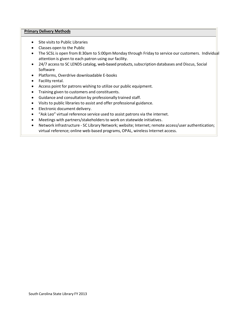#### **Primary Delivery Methods**

- Site visits to Public Libraries
- Classes open to the Public
- The SCSL is open from 8:30am to 5:00pm Monday through Friday to service our customers. Individual attention is given to each patron using our facility.
- 24/7 access to SC LENDS catalog, web-based products, subscription databases and Discus, Social Software
- Platforms, Overdrive downloadable E-books
- Facility rental.
- Access point for patrons wishing to utilize our public equipment.
- Training given to customers and constituents.
- Guidance and consultation by professionally trained staff.
- Visits to public libraries to assist and offer professional guidance.
- Electronic document delivery.
- "Ask Leo" virtual reference service used to assist patrons via the internet.
- Meetings with partners/stakeholdersto work on statewide initiatives.
- Network infrastructure SC Library Network; website; Internet; remote access/user authentication; virtual reference; online web-based programs, OPAL, wireless Internet access.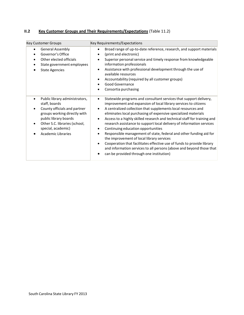# **II.2 Key Customer Groups and Their Requirements/Expectations** (Table 11.2)

| <b>Key Customer Groups</b>                                                                                                                                                                                                                             | Key Requirements/Expectations                                                                                                                                                                                                                                                                                                                                                                                                                                                                                                                                                                                                                                                                                                                                                                                                                |
|--------------------------------------------------------------------------------------------------------------------------------------------------------------------------------------------------------------------------------------------------------|----------------------------------------------------------------------------------------------------------------------------------------------------------------------------------------------------------------------------------------------------------------------------------------------------------------------------------------------------------------------------------------------------------------------------------------------------------------------------------------------------------------------------------------------------------------------------------------------------------------------------------------------------------------------------------------------------------------------------------------------------------------------------------------------------------------------------------------------|
| <b>General Assembly</b><br>$\bullet$<br>Governor's Office<br>$\bullet$<br>Other elected officials<br>State government employees<br><b>State Agencies</b>                                                                                               | Broad range of up-to-date reference, research, and support materials<br>$\bullet$<br>(print and electronic)<br>$\bullet$<br>Superior personal service and timely response from knowledgeable<br>information professionals<br>Assistance with professional development through the use of<br>٠<br>available resources<br>Accountability (required by all customer groups)<br>Good Governance<br>Consortia purchasing                                                                                                                                                                                                                                                                                                                                                                                                                          |
| Public library administrators,<br>$\bullet$<br>staff, boards<br>County officials and partner<br>groups working directly with<br>public library boards<br>Other S.C. libraries (school,<br>$\bullet$<br>special, academic)<br><b>Academic Libraries</b> | Statewide programs and consultant services that support delivery,<br>$\bullet$<br>improvement and expansion of local library services to citizens<br>A centralized collection that supplements local resources and<br>$\bullet$<br>eliminates local purchasing of expensive specialized materials<br>Access to a highly skilled research and technical staff for training and<br>$\bullet$<br>research assistance to support local delivery of information services<br>Continuing education opportunities<br>٠<br>Responsible management of state, federal and other funding aid for<br>the improvement of local library services<br>Cooperation that facilitates effective use of funds to provide library<br>$\bullet$<br>and information services to all persons (above and beyond those that<br>can be provided through one institution) |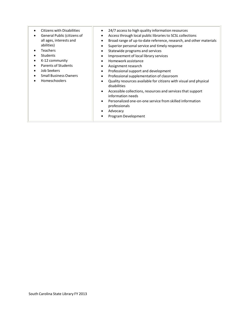- Citizens with Disabilities
- General Public (citizens of all ages, interests and abilities)
- Teachers
- Students
- K-12 community
- Parents of Students
- Job Seekers
- Small Business Owners
- Homeschoolers
- 24/7 access to high quality information resources
- Accessthrough local public librariesto SCSL collections
- Broad range of up-to-date reference, research, and other materials
- Superior personal service and timely response
- Statewide programs and services
- Improvement of local library services
- Homework assistance
- Assignment research
- Professional support and development
- Professionalsupplementation of classroom
- Quality resources available for citizens with visual and physical disabilities
- Accessible collections, resources and services that support information needs
- Personalized one-on-one service from skilled information professionals
- Advocacy
- Program Development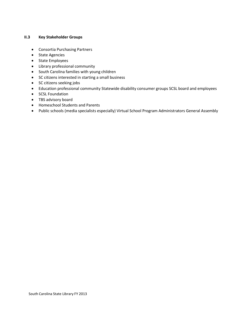# **II.3 Key Stakeholder Groups**

- Consortia Purchasing Partners
- State Agencies
- State Employees
- Library professional community
- South Carolina families with young children
- SC citizens interested in starting a small business
- SC citizens seeking jobs
- Education professional community Statewide disability consumer groups SCSL board and employees
- SCSL Foundation
- TBS advisory board
- Homeschool Students and Parents
- Public schools (media specialists especially) Virtual School Program Administrators General Assembly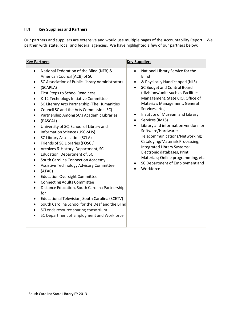# **II.4 Key Suppliers and Partners**

Our partners and suppliers are extensive and would use multiple pages of the Accountability Report. We partner with state, local and federal agencies. We have highlighted a few of our partners below:

| <b>Key Partners</b>                                                                                                                                                                                                                                                                                                                                                                                                                                                                                                                                                                                                                                                                                                                                                                                                                                                                                                                                                                                                                                                                                                                                                                                                               | <b>Key Suppliers</b>                                                                                                                                                                                                                                                                                                                                                                                                                                                                                                                                                                                                                                |
|-----------------------------------------------------------------------------------------------------------------------------------------------------------------------------------------------------------------------------------------------------------------------------------------------------------------------------------------------------------------------------------------------------------------------------------------------------------------------------------------------------------------------------------------------------------------------------------------------------------------------------------------------------------------------------------------------------------------------------------------------------------------------------------------------------------------------------------------------------------------------------------------------------------------------------------------------------------------------------------------------------------------------------------------------------------------------------------------------------------------------------------------------------------------------------------------------------------------------------------|-----------------------------------------------------------------------------------------------------------------------------------------------------------------------------------------------------------------------------------------------------------------------------------------------------------------------------------------------------------------------------------------------------------------------------------------------------------------------------------------------------------------------------------------------------------------------------------------------------------------------------------------------------|
| National Federation of the Blind (NFB) &<br>$\bullet$<br>American Council (ACB) of SC<br>SC Association of Public Library Administrators<br>$\bullet$<br>(SCAPLA)<br><b>First Steps to School Readiness</b><br>K-12 Technology Initiative Committee<br>$\bullet$<br>SC Literary Arts Partnership (The Humanities<br>$\bullet$<br>Council SC and the Arts Commission, SC)<br>$\bullet$<br>Partnership Among SC's Academic Libraries<br>(PASCAL)<br>$\bullet$<br>University of SC, School of Library and<br>Information Science (USC-SLIS)<br>$\bullet$<br><b>SC Library Association (SCLA)</b><br>$\bullet$<br>Friends of SC Libraries (FOSCL)<br>٠<br>Archives & History, Department, SC<br>$\bullet$<br>Education, Department of, SC<br>$\bullet$<br>South Carolina Connection Academy<br>$\bullet$<br>Assistive Technology Advisory Committee<br>(ATAC)<br>$\bullet$<br><b>Education Oversight Committee</b><br><b>Connecting Adults Committee</b><br>Distance Education, South Carolina Partnership<br>for<br>Educational Television, South Carolina (SCETV)<br>$\bullet$<br>South Carolina School for the Deaf and the Blind<br>$\bullet$<br>SCLends resource sharing consortium<br>SC Department of Employment and Workforce | National Library Service for the<br>$\bullet$<br><b>Blind</b><br>& Physically Handicapped (NLS)<br>$\bullet$<br>SC Budget and Control Board<br>(divisions/units such as Facilities<br>Management, State CIO, Office of<br>Materials Management, General<br>Services, etc.)<br>Institute of Museum and Library<br>$\bullet$<br>Services (IMLS)<br>$\bullet$<br>Library and information vendors for:<br>Software/Hardware;<br>Telecommunications/Networking;<br>Cataloging/Materials Processing;<br>Integrated Library Systems;<br>Electronic databases, Print<br>Materials; Online programming, etc.<br>SC Department of Employment and<br>Workforce |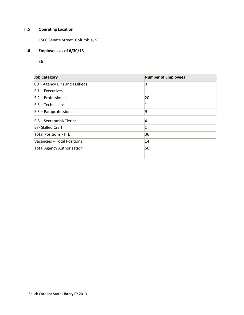# **II.5 Operating Location**

1500 Senate Street, Columbia, S.C.

# **II.6 Employees as of 6/30/13**

36

| <b>Job Category</b>               | <b>Number of Employees</b> |
|-----------------------------------|----------------------------|
| 00 - Agency Dir (Unclassified)    | 0                          |
| $E_1$ – Executives                |                            |
| $E_2$ – Professionals             | 20                         |
| $E_3$ – Technicians               |                            |
| $E$ 5 – Paraprofessionals         | 19                         |
| $E_6$ – Secretarial/Clerical      | 4                          |
| <b>E7- Skilled Craft</b>          |                            |
| <b>Total Positions - FTE</b>      | 36                         |
| Vacancies - Total Positions       | 14                         |
| <b>Total Agency Authorization</b> | 50                         |
|                                   |                            |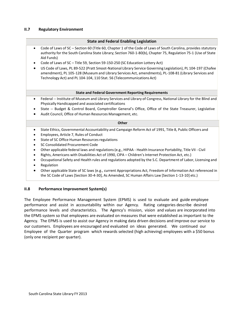# **II.7 Regulatory Environment**

| <b>State and Federal Enabling Legislation</b>                                                                                                                                                                                                                                                                                                                                                                                                                                                                                                                                                                                                                          |
|------------------------------------------------------------------------------------------------------------------------------------------------------------------------------------------------------------------------------------------------------------------------------------------------------------------------------------------------------------------------------------------------------------------------------------------------------------------------------------------------------------------------------------------------------------------------------------------------------------------------------------------------------------------------|
| Code of Laws of SC - Section 60 (Title 60, Chapter 1 of the Code of Laws of South Carolina, provides statutory<br>$\bullet$<br>authority for the South Carolina State Library; Section 760-1-80(b), Chapter 75, Regulation 75-1 (Use of State<br>Aid Funds)<br>Code of Laws of SC - Title 59, Section 59-150-250 (SC Education Lottery Act)<br>$\bullet$<br>US Code of Laws, PL 89-522 (Pratt Smoot-National Library Service Governing Legislation), PL 104-197 (Chafee<br>$\bullet$<br>amendment), PL 105-128 (Museum and Library Services Act, amendments), PL-108-81 (Library Services and<br>Technology Act) and PL 104-104, 110 Stat. 56 (Telecommunications Act) |
| <b>State and Federal Government Reporting Requirements</b>                                                                                                                                                                                                                                                                                                                                                                                                                                                                                                                                                                                                             |
| Federal -- Institute of Museum and Library Services and Library of Congress, National Library for the Blind and<br>$\bullet$<br>Physically Handicapped and associated certifications<br>State -- Budget & Control Board, Comptroller General's Office, Office of the State Treasurer, Legislative<br>$\bullet$<br>Audit Council, Office of Human Resources Management, etc.                                                                                                                                                                                                                                                                                            |
| Other                                                                                                                                                                                                                                                                                                                                                                                                                                                                                                                                                                                                                                                                  |
| State Ethics, Governmental Accountability and Campaign Reform Act of 1991, Title 8, Public Officers and<br>$\bullet$<br>Employees, Article 7, Rules of Conduct<br>٠<br>State of SC Office Human Resources regulations<br>SC Consolidated Procurement Code<br>$\bullet$<br>Other applicable federal laws and regulations (e.g., HIPAA - Health Insurance Portability, Title VII - Civil<br>$\bullet$<br>Rights, Americans with Disabilities Act of 1990, CIPA - Children's Internet Protection Act, etc.)<br>٠<br>Occupational Safety and Health rules and regulations adopted by the S.C. Department of Labor, Licensing and<br>Regulation                             |
| Othoropplicable Ctate of CC loug Le a current Appropriations Act, Excedent of Information Act referenced in                                                                                                                                                                                                                                                                                                                                                                                                                                                                                                                                                            |

• Other applicable State of SC laws (e.g., current Appropriations Act, Freedom of Information Act referenced in the SC Code of Laws [Section 30-4-30], As Amended, SC Human Affairs Law [Section 1-13-10] etc.)

# **II.8 Performance Improvement System(s)**

The Employee Performance Management System (EPMS) is used to evaluate and guide employee performance and assist in accountability within our Agency. Rating categories describe desired performance levels and characteristics. The Agency's mission, vision and values are incorporated into the EPMS system so that employees are evaluated on measures that were established as important to the Agency. The EPMS is used to assist our Agency in making data driven decisions and improve our service to our customers. Employees are encouraged and evaluated on ideas generated. We continued our Employee of the Quarter program which rewards selected (high achieving) employees with a \$50 bonus (only one recipient per quarter).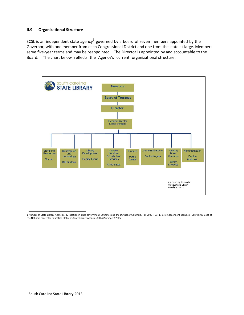#### **II.9 Organizational Structure**

SCSL is an independent state agency<sup>1</sup> governed by a board of seven members appointed by the Governor, with one member from each Congressional District and one from the state at large. Members serve five-year terms and may be reappointed. The Director is appointed by and accountable to the Board. The chart below reflects the Agency's current organizational structure.



<sup>1</sup> Number of State Library Agencies, by location in state government: 50 states and the District of Columbia, Fall 2005 = 51; 17 are independent agencies. Source: US Dept of Ed., National Center for Education Statistics, State Library Agencies (STLA) Survey, FY 2005.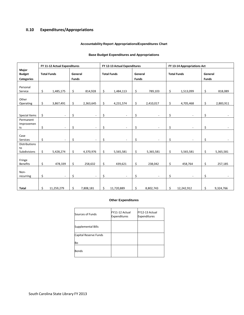# **II.10 Expenditures/Appropriations**

#### **Accountability Report Appropriations/Expenditures Chart**

#### **Base Budget Expenditures and Appropriations**

|                                             | FY 11-12 Actual Expenditures |                    | FY 12-13 Actual Expenditures |                |    | FY 13-14 Appropriations Act |                         |                          |    |                    |                         |           |
|---------------------------------------------|------------------------------|--------------------|------------------------------|----------------|----|-----------------------------|-------------------------|--------------------------|----|--------------------|-------------------------|-----------|
| Major<br><b>Budget</b><br><b>Categories</b> |                              | <b>Total Funds</b> | General<br><b>Funds</b>      |                |    | <b>Total Funds</b>          | General<br><b>Funds</b> |                          |    | <b>Total Funds</b> | General<br><b>Funds</b> |           |
| Personal<br>Service                         | \$                           | 1,485,175          | \$                           | 814,928        | \$ | 1,484,113                   | \$                      | 789,103                  | \$ | 1,513,099          | \$                      | 818,089   |
| Other<br>Operating                          | \$                           | 3,867,491          | \$                           | 2,363,645      | \$ | 4,231,574                   | \$                      | 2,410,017                | \$ | 4,705,468          | \$                      | 2,883,911 |
| Special Items                               | \$                           | ÷.                 | \$                           | ÷.             | \$ |                             | \$                      |                          | \$ |                    | \$                      |           |
| Permanent<br>Improvemen<br>ts               | \$                           | $\sim$             | \$                           | $\equiv$       | \$ |                             | \$                      |                          | \$ |                    | \$                      |           |
| Case<br><b>Services</b>                     | \$                           | $\blacksquare$     | \$                           | $\overline{a}$ | \$ |                             | \$                      |                          | \$ |                    | \$                      |           |
| <b>Distributions</b><br>to<br>Subdivisions  | \$                           | 5,428,274          | \$                           | 4,370,976      | \$ | 5,565,581                   | \$                      | 5,365,581                | \$ | 5,565,581          | \$                      | 5,365,581 |
| Fringe<br><b>Benefits</b>                   | \$                           | 478,339            | \$                           | 258,632        | \$ | 439,621                     | \$                      | 238,042                  | \$ | 458,764            | \$                      | 257,185   |
| Non-<br>recurring                           | \$                           | $\sim$             | \$                           | $\overline{a}$ | \$ | $\ddot{\phantom{1}}$        | \$                      | $\overline{\phantom{a}}$ | \$ |                    | \$                      |           |
| <b>Total</b>                                | \$                           | 11,259,279         | \$                           | 7,808,181      | \$ | 11,720,889                  | \$                      | 8,802,743                | \$ | 12,242,912         | \$                      | 9,324,766 |

#### **Other Expenditures**

| Sources of Funds      | FY11-12 Actual<br><b>Expenditures</b> | FY12-13 Actual<br><b>Expenditures</b> |
|-----------------------|---------------------------------------|---------------------------------------|
| Supplemental Bills    |                                       |                                       |
| Capital Reserve Funds |                                       |                                       |
| Bo                    |                                       |                                       |
| <b>Bonds</b>          |                                       |                                       |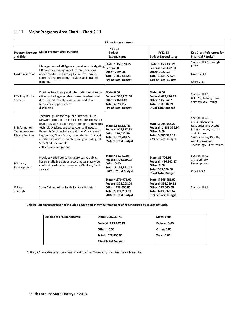# **II. 11 Major Programs Area Chart – Chart 2.11**

|                                                              | <b>Major Program Areas</b>                                                                                                                                                                                                                                                                                                                                                                                                  |                                                                                                               |                                                                                                                 |                                                                                                                                                                                         |  |  |  |
|--------------------------------------------------------------|-----------------------------------------------------------------------------------------------------------------------------------------------------------------------------------------------------------------------------------------------------------------------------------------------------------------------------------------------------------------------------------------------------------------------------|---------------------------------------------------------------------------------------------------------------|-----------------------------------------------------------------------------------------------------------------|-----------------------------------------------------------------------------------------------------------------------------------------------------------------------------------------|--|--|--|
| <b>Program Number</b><br>and Title                           | <b>Major Program Area Purpose</b>                                                                                                                                                                                                                                                                                                                                                                                           | FY11-12<br><b>Budget</b><br><b>Expenditures</b>                                                               | FY12-13<br><b>Budget Expenditures</b>                                                                           | <b>Key Cross References for</b><br><b>Financial Results*</b>                                                                                                                            |  |  |  |
| Administration                                               | Management of all Agency operations: budgeting,<br>HR, facilities management, communications,<br>administration of funding to County Libraries,<br>coordinating, reporting activities and strategic<br>planning.                                                                                                                                                                                                            | State: 1,153,194.22<br>Federal: 0<br>Other: 7394.36<br>Total: 1,160,588.58<br>9% of Total Budget              | State: 1,153,333.21<br>Federal: 178.422.00<br>Other: 3022.53<br>Total: 1,334,777.74<br>13% of Total Budget      | Section III.7.3 through<br>III.7.6<br>Graph 7.3.1<br>Chart 7.3.2                                                                                                                        |  |  |  |
| <b>II Talking Books</b><br><b>Services</b>                   | Provides free library and information services to<br>citizens of all ages unable to use standard print<br>due to blindness, dyslexia, visual and other<br>temporary or permanent<br>disabilities.                                                                                                                                                                                                                           | <b>State: 0.00</b><br>Federal: 386,202.68<br>Other: 21600.02<br>Total: 407802.7<br>4% of Total Budget         | <b>State: 0.00</b><br>Federal: 642,476.19<br>Other: 145,862.2<br>Total: 788,338.39<br><b>6% of Total Budget</b> | Section III.7.1<br>& III.7.2, Talking Books<br>Services Key Results                                                                                                                     |  |  |  |
| III Information<br>Technology and<br><b>Library Services</b> | Technical guidance to public libraries; SC Lib<br>Network; coordinates E-Rate; remote access to E-<br>resources; advises administration on IT; develops<br>technology plans; supports Agency IT needs;<br>Research Services to key customers' (state govt,<br>Legislature, Gov's Office, other elected officials);<br>interlibrary loan; research training to State govt;<br>State/Fed Documents;<br>collection development | State:1,563,637.13<br>Federal: 946,327.93<br>Other: 110,437.50<br>Total: 2,620,402.56<br>24% of Total Budget  | State: 2,203,936.20<br>Federal: 1,181,376.94<br>Other: 0.00<br>Total: 3,385,313.14<br>27% of Total Budget       | Section III.7.1<br>& 7.2 : Electronic<br><b>Resources and Discus</b><br>Program - Key results;<br>and Library<br>Services - Key Results;<br>And Information<br>Technology - Key results |  |  |  |
| <b>IV Library</b><br>Development                             | Provides varied consultant services to public<br>library staffs & trustees; coordinates statewide<br>continuing education programs; Children/Youth<br>services.                                                                                                                                                                                                                                                             | State: 461,741.69<br>Federal: 702,129.73<br>Other: 0.00<br>Total: 1,163,871.42<br>10% of Total Budget         | State: 86,703.91<br>Federal: 496,902.17<br>Other: 0.00<br>Total: 583,606.08<br>5% of Total Budget               | Section III.7.1<br>& 7.2 Library<br>Development<br>Chart 7.3.3                                                                                                                          |  |  |  |
| V Pass<br>Through                                            | State Aid and other funds for local libraries.                                                                                                                                                                                                                                                                                                                                                                              | State: 4,370,976.00<br>Federal: 324,298.24<br>Other: 733,000.00<br>Total: 5,428,274.24<br>48% of Total Budget | State: 5,365,581.00<br>Federal: 336,789.62<br>Other: 733,000.00<br>Total: 6,435,370.62<br>51% of Total Budget   | Section III.7.3                                                                                                                                                                         |  |  |  |

**Below: List any programs not included above and show the remainder of expenditures by source of funds.**

| <b>Remainder of Expenditures:</b> | State: 258,631.71   | <b>State: 0.00</b> |
|-----------------------------------|---------------------|--------------------|
|                                   | Federal: 219,707.19 | Federal: 0.00      |
|                                   | Other: 0.00         | Other: 0.00        |
|                                   | Total: 527,866.00   | <b>Total: 0.00</b> |
|                                   | 4% of Total Budget: |                    |

\* Key Cross-References are a link to the Category 7 - Business Results.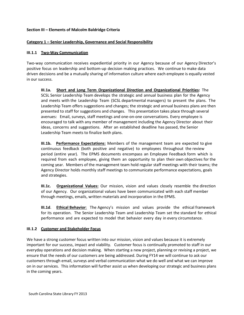## **Section III – Elements of Malcolm Baldridge Criteria**

# **Category 1 – Senior Leadership, Governance and Social Responsibility**

#### **III.1.1 Two-Way Communication**

Two-way communication receives expediential priority in our Agency because of our Agency Director's positive focus on leadership and bottom-up decision making practices. We continue to make data driven decisions and be a mutually sharing of information culture where each employee is equally vested in our success.

**III.1a. Short and Long Term Organizational Direction and Organizational Priorities:** The SCSL Senior Leadership Team develops the strategic and annual business plan for the Agency and meets with the Leadership Team (SCSL departmental managers) to present the plans. The Leadership Team offers suggestions and changes; the strategic and annual business plans are then presented to staff for suggestions and changes. This presentation takes place through several avenues: Email, surveys, staff meetings and one-on-one conversations. Every employee is encouraged to talk with any member of management including the Agency Director about their ideas, concerns and suggestions. After an established deadline has passed, the Senior Leadership Team meets to finalize both plans.

**III.1b. Performance Expectations:** Members of the management team are expected to give continuous feedback (both positive and negative) to employees throughout the review period (entire year). The EPMS documents encompass an Employee Feedback form which is required from each employee, giving them an opportunity to plan their own objectives for the coming year. Members of the management team hold regular staff meetings with their teams; the Agency Director holds monthly staff meetings to communicate performance expectations, goals and strategies.

**III.1c. Organizational Values:** Our mission, vision and values closely resemble the direction of our Agency. Our organizational values have been communicated with each staff member through meetings, emails, written materials and incorporation in the EPMS.

**III.1d**. **Ethical Behavior**: The Agency's mission and values provide the ethical framework for its operation. The Senior Leadership Team and Leadership Team set the standard for ethical performance and are expected to model that behavior every day in every circumstance.

#### **III.1.2 Customer and Stakeholder Focus**

We have a strong customer focus written into our mission, vision and values because it is extremely important for our success, impact and viability. Customer focus is continually promoted to staff in our everyday operations and decision making. When starting a new project, planning or revising a project, we ensure that the needs of our customers are being addressed. During FY14 we will continue to ask our customers through email, surveys and verbal communication what we do well and what we can improve on in our services. This information will further assist us when developing our strategic and business plans in the coming years.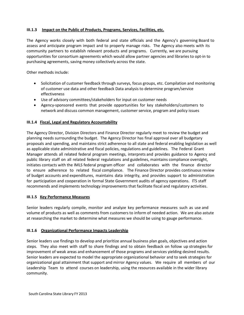# **III.1.3 Impact on the Public of Products, Programs, Services, Facilities, etc.**

The Agency works closely with both federal and state officials and the Agency's governing Board to assess and anticipate program impact and to properly manage risks. The Agency also meets with its community partners to establish relevant products and programs. Currently, we are pursuing opportunities for consortium agreements which would allow partner agencies and libraries to opt-in to purchasing agreements, saving money collectively across the state.

Other methods include:

- Solicitation of customer feedback through surveys, focus groups, etc. Compilation and monitoring of customer use data and other feedback Data analysis to determine program/service effectiveness
- Use of advisory committees/stakeholders for input on customer needs
- Agency-sponsored events that provide opportunities for key stakeholders/customers to network and discuss common management, customer service, program and policy issues

#### **III.1.4 Fiscal, Legal and Regulatory Accountability**

The Agency Director, Division Directors and Finance Director regularly meet to review the budget and planning needs surrounding the budget. The Agency Director has final approval over all budgetary proposals and spending, and maintains strict adherence to all state and federal enabling legislation as well as applicable state administrative and fiscal policies, regulations and guidelines. The Federal Grant Manager attends all related federal program meetings, interprets and provides guidance to Agency and public library staff on all related federal regulations and guidelines, maintains compliance oversight, initiates contacts with the IMLS federal program officer and collaborates with the finance director to ensure adherence to related fiscal compliance. The Finance Director provides continuous review of budget accounts and expenditures, maintains data integrity, and provides support to administration for participation and cooperation in formal State Government audits of agency operations. ITS staff recommends and implements technology improvements that facilitate fiscal and regulatory activities.

#### **III.1.5 Key Performance Measures**

Senior leaders regularly compile, monitor and analyze key performance measures such as use and volume of products as well as comments from customers to inform of needed action. We are also astute at researching the market to determine what measures we should be using to gauge performance.

#### **III.1.6 Organizational Performance Impacts Leadership**

Senior leaders use findings to develop and prioritize annual business plan goals, objectives and action steps. They also meet with staff to share findings and to obtain feedback on follow up strategies for improvement of weak areas and enhancement of those programs and services yielding desired results. Senior leaders are expected to model the appropriate organizational behavior and to seek strategies for organizational goal attainment that support and mirror Agency values. We require all members of our Leadership Team to attend courses on leadership, using the resources available in the wider library community.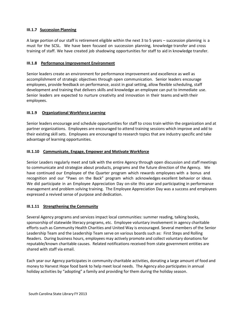# **III.1.7 Succession Planning**

A large portion of our staff is retirement eligible within the next 3 to 5 years – succession planning is a must for the SCSL. We have been focused on succession planning, knowledge transfer and cross training of staff. We have created job shadowing opportunities for staff to aid in knowledge transfer.

# **III.1.8 Performance Improvement Environment**

Senior leaders create an environment for performance improvement and excellence as well as accomplishment of strategic objectives through open communication. Senior leaders encourage employees, provide feedback on performance, assist in goal setting, allow flexible scheduling, staff development and training that delivers skills and knowledge an employee can put to immediate use. Senior leaders are expected to nurture creativity and innovation in their teams and with their employees.

# **III.1.9 Organizational Workforce Learning**

Senior leaders encourage and schedule opportunities for staff to cross train within the organization and at partner organizations. Employees are encouraged to attend training sessions which improve and add to their existing skill sets. Employees are encouraged to research topics that are industry specific and take advantage of learning opportunities.

# **III.1.10 Communicate, Engage, Empower and Motivate Workforce**

Senior Leaders regularly meet and talk with the entire Agency through open discussion and staff meetings to communicate and strategize about products, programs and the future direction of the Agency. We have continued our Employee of the Quarter program which rewards employees with a bonus and recognition and our "Paws on the Back" program which acknowledges excellent behavior or ideas. We did participate in an Employee Appreciation Day on-site this year and participating in performance management and problem solving training. The Employee Appreciation Day was a success and employees expressed a revived sense of purpose and dedication.

#### **III.1.11 Strengthening the Community**

Several Agency programs and services impact local communities: summer reading, talking books, sponsorship of statewide literacy programs, etc. Employee voluntary involvement in agency charitable efforts such as Community Health Charities and United Way is encouraged. Several members of the Senior Leadership Team and the Leadership Team serve on various boards such as: First Steps and Rolling Readers. During business hours, employees may actively promote and collect voluntary donations for reputable/known charitable causes. Related notifications received from state government entities are shared with staff via email.

Each year our Agency participates in community charitable activities, donating a large amount of food and money to Harvest Hope food bank to help meet local needs. The Agency also participates in annual holiday activities by "adopting" a family and providing for them during the holiday season.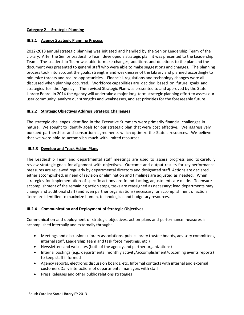# **Category 2 – Strategic Planning**

#### **III.2.1 Agency Strategic Planning Process**

2012-2013 annual strategic planning was initiated and handled by the Senior Leadership Team of the Library. After the Senior Leadership Team developed a strategic plan, it was presented to the Leadership Team. The Leadership Team was able to make changes, additions and deletions to the plan and the document was presented to general staff who were able to make suggestions and changes. The planning process took into account the goals, strengths and weaknesses of the Library and planned accordingly to minimize threats and realize opportunities. Financial, regulations and technology changes were all discussed when planning occurred. Workforce capabilities are decided based on future goals and strategies for the Agency. The revised Strategic Plan was presented to and approved by the State Library Board. In 2014 the Agency will undertake a major long-term strategic planning effort to assess our user community, analyze our strengths and weaknesses, and set priorities for the foreseeable future.

#### **III.2.2 Strategic Objectives Address Strategic Challenges**

The strategic challenges identified in the Executive Summary were primarily financial challenges in nature. We sought to identify goals for our strategic plan that were cost effective. We aggressively pursued partnerships and consortium agreements which optimize the State's resources. We believe that we were able to accomplish much with limited resources.

#### **III.2.3 Develop and Track Action Plans**

The Leadership Team and departmental staff meetings are used to assess progress and to carefully review strategic goals for alignment with objectives. Outcome and output results for key performance measures are reviewed regularly by departmental directors and designated staff. Actions are declared either accomplished, in need of revision or elimination and timelines are adjusted as needed. When strategies for implementation of specific actions are found lacking, adjustments are made. To ensure accomplishment of the remaining action steps, tasks are reassigned as necessary; lead departments may change and additional staff (and even partner organizations) necessary for accomplishment of action items are identified to maximize human, technological and budgetary resources.

#### **III.2.4 Communication and Deployment of Strategic Objectives**

Communication and deployment of strategic objectives, action plans and performance measures is accomplished internally and externally through:

- Meetings and discussions (library associations, public library trustee boards, advisory committees, internal staff, Leadership Team and task force meetings, etc.)
- Newsletters and web sites (both of the agency and partner organizations)
- Internal postings (e.g., departmental monthly activity/accomplishment/upcoming events reports) to keep staff informed
- Agency reports, electronic discussion boards, etc. Informal contacts with internal and external customers Daily interactions of departmental managers with staff
- Press Releases and other public relations strategies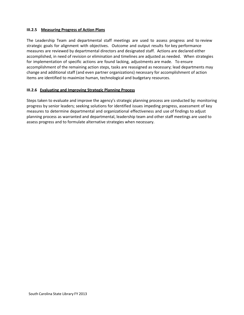#### **III.2.5 Measuring Progress of Action Plans**

The Leadership Team and departmental staff meetings are used to assess progress and to review strategic goals for alignment with objectives. Outcome and output results for key performance measures are reviewed by departmental directors and designated staff. Actions are declared either accomplished, in need of revision or elimination and timelines are adjusted as needed. When strategies for implementation of specific actions are found lacking, adjustments are made. To ensure accomplishment of the remaining action steps, tasks are reassigned as necessary; lead departments may change and additional staff (and even partner organizations) necessary for accomplishment of action items are identified to maximize human, technological and budgetary resources.

# **III.2.6 Evaluating and Improving Strategic Planning Process**

Steps taken to evaluate and improve the agency's strategic planning process are conducted by: monitoring progress by senior leaders; seeking solutions for identified issues impeding progress, assessment of key measures to determine departmental and organizational effectiveness and use of findings to adjust planning process as warranted and departmental, leadership team and other staff meetings are used to assess progress and to formulate alternative strategies when necessary.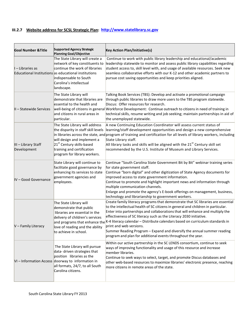# **III.2.7 Website address for SCSL Strategic Plan: [http://www.statelibrary.sc.gov](http://www.statelibrary.sc.gov/)**

| <b>Goal Number &amp; Title</b>     | <b>Supported Agency Strategic</b><br><b>Planning Goal/Objective</b>                                                                                                                                                            | <b>Key Action Plan/Initiative(s)</b>                                                                                                                                                                                                                                                                                                                                                                                                                                                                                                                                                                              |
|------------------------------------|--------------------------------------------------------------------------------------------------------------------------------------------------------------------------------------------------------------------------------|-------------------------------------------------------------------------------------------------------------------------------------------------------------------------------------------------------------------------------------------------------------------------------------------------------------------------------------------------------------------------------------------------------------------------------------------------------------------------------------------------------------------------------------------------------------------------------------------------------------------|
| $I$ – Libraries as                 | The State Library will create a<br>network of key constituents to<br>continue the work of libraries<br>Educational Institutions as educational institutions<br>indispensable to South<br>Carolina's intellectual<br>landscape. | Continue to work with public library leadership and educational/academic<br>leadership statewide to monitor and assess public library capabilities regarding<br>student access to, skill level with, and usage of available resources. Seek new<br>seamless collaborative efforts with our K-12 and other academic partners to<br>pursue cost saving opportunities and keep priorities aligned.                                                                                                                                                                                                                   |
| II - Statewide Services            | The State Library will<br>demonstrate that libraries are<br>essential to the health and<br>and citizens in rural areas in<br>particular.                                                                                       | Talking Book Services (TBS): Develop and activate a promotional campaign<br>through public libraries to draw more users to the TBS program statewide.<br>Discus: Offer resources for research.<br>well-being of citizens in general Workforce Development: Continue outreach to citizens in need of training in<br>technical skills, resume writing and job seeking; maintain partnerships in aid of<br>the unemployed statewide.                                                                                                                                                                                 |
| III - Library Staff<br>Development | The State Library will address<br>the disparity in staff skill levels<br>will design and implement a<br>21 <sup>st</sup> Century skills-based<br>training and certification<br>program for library workers.                    | A new Continuing Education Coordinator will assess current status of<br>learning/staff development opportunities and design a new comprehensive<br>in libraries across the state, and program of training and certification for all levels of library workers, including<br>State Library staff.<br>All library tasks and skills will be aligned with the $21st$ Century skill set<br>recommended by the U.S. Institute of Museum and Library Services.                                                                                                                                                           |
| IV - Good Governance               | State Library will continue to<br>facilitate good governance by<br>enhancing its services to state<br>government agencies and<br>employees.                                                                                    | Continue "South Carolina State Government Bit by Bit" webinar training series<br>for state government staff.<br>Continue "born digital" and other digitization of State Agency documents for<br>improved access to state government information.<br>Continue to promote and highlight important news and information through<br>multiple communication channels.<br>Enlarge and promote the agency's E-book offerings on management, business,<br>technology and librarianship to government workers.                                                                                                             |
| V - Family Literacy                | The State Library will<br>demonstrate that public<br>libraries are essential in the<br>delivery of children's services<br>love of reading and the ability<br>to achieve in school.                                             | Create family literacy programs that demonstrate that SC libraries are essential<br>to the intellectual health of SC citizens in general and children in particular.<br>Enter into partnerships and collaborations that will enhance and multiply the<br>effectiveness of SC literacy such as the Literacy 2030 initiative.<br>and programs that enhance the $k-4$ literacy calendar – Distribute calendars based on curriculum standards in<br>print and web versions.<br>Summer Reading Program - Expand and diversify the annual summer reading<br>program and plan for additional events throughout the year. |
|                                    | The State Library will pursue<br>data- driven strategies that<br>position libraries as the<br>VI - Information Access doorway to information in<br>all formats, 24/7, to all South<br>Carolina citizens.                       | Within our active partnership in the SC LENDS consortium, continue to seek<br>ways of improving functionality and usage of this resource and increase<br>member libraries.<br>Continue to seek ways to select, target, and promote Discus databases and<br>other web-based resources to maximize libraries' electronic presence, reaching<br>more citizens in remote areas of the state.                                                                                                                                                                                                                          |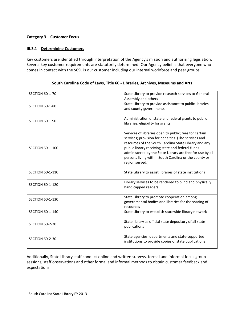# **Category 3 – Customer Focus**

#### **III.3.1 Determining Customers**

Key customers are identified through interpretation of the Agency's mission and authorizing legislation. Several key customer requirements are statutorily determined. Our Agency belief is that everyone who comes in contact with the SCSL is our customer including our internal workforce and peer groups.

| <b>SECTION 60-1-70</b>  | State Library to provide research services to General<br>Assembly and others                                                                                                                                                                                                                                                                                        |
|-------------------------|---------------------------------------------------------------------------------------------------------------------------------------------------------------------------------------------------------------------------------------------------------------------------------------------------------------------------------------------------------------------|
| <b>SECTION 60-1-80</b>  | State Library to provide assistance to public libraries<br>and county governments                                                                                                                                                                                                                                                                                   |
| <b>SECTION 60-1-90</b>  | Administration of state and federal grants to public<br>libraries; eligibility for grants                                                                                                                                                                                                                                                                           |
| <b>SECTION 60-1-100</b> | Services of libraries open to public; fees for certain<br>services; provision for penalties (The services and<br>resources of the South Carolina State Library and any<br>public library receiving state and federal funds<br>administered by the State Library are free for use by all<br>persons living within South Carolina or the county or<br>region served.) |
| <b>SECTION 60-1-110</b> | State Library to assist libraries of state institutions                                                                                                                                                                                                                                                                                                             |
| <b>SECTION 60-1-120</b> | Library services to be rendered to blind and physically<br>handicapped readers                                                                                                                                                                                                                                                                                      |
| <b>SECTION 60-1-130</b> | State Library to promote cooperation among<br>governmental bodies and libraries for the sharing of<br>resources                                                                                                                                                                                                                                                     |
| <b>SECTION 60-1-140</b> | State Library to establish statewide library network                                                                                                                                                                                                                                                                                                                |
| <b>SECTION 60-2-20</b>  | State library as official state depository of all state<br>publications                                                                                                                                                                                                                                                                                             |
| <b>SECTION 60-2-30</b>  | State agencies, departments and state-supported<br>institutions to provide copies of state publications                                                                                                                                                                                                                                                             |

#### **South Carolina Code of Laws, Title 60 - Libraries, Archives, Museums and Arts**

Additionally, State Library staff conduct online and written surveys, formal and informal focus group sessions, staff observations and other formal and informal methods to obtain customer feedback and expectations.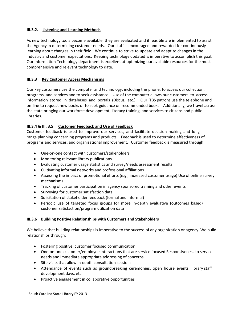# **III.3.2. Listening and Learning Methods**

As new technology tools become available, they are evaluated and if feasible are implemented to assist the Agency in determining customer needs. Our staff is encouraged and rewarded for continuously learning about changes in their field. We continue to strive to update and adapt to changes in the industry and customer expectations. Keeping technology updated is imperative to accomplish this goal. Our Information Technology department is excellent at optimizing our available resources for the most comprehensive and relevant technology to date.

#### **III.3.3 Key Customer Access Mechanisms**

Our key customers use the computer and technology, including the phone, to access our collection, programs, and services and to seek assistance. Use of the computer allows our customers to access information stored in databases and portals (Discus, etc.). Our TBS patrons use the telephone and on-line to request new books or to seek guidance on recommended books. Additionally, we travel across the state bringing our workforce development, literacy training, and services to citizens and public libraries.

# **III.3.4 & III. 3.5 Customer Feedback and Use of Feedback**

Customer feedback is used to improve our services, and facilitate decision making and long range planning concerning programs and products. Feedback is used to determine effectiveness of programs and services, and organizational improvement. Customer feedback is measured through:

- One-on-one contact with customers/stakeholders
- Monitoring relevant library publications
- Evaluating customer usage statistics and survey/needs assessment results
- Cultivating informal networks and professional affiliations
- Assessing the impact of promotional efforts (e.g., increased customer usage) Use of online survey mechanisms
- Tracking of customer participation in agency sponsored training and other events
- Surveying for customer satisfaction data
- Solicitation of stakeholder feedback (formal and informal)
- Periodic use of targeted focus groups for more in-depth evaluative (outcomes based) customer satisfaction/program utilization data

#### **III.3.6 Building Positive Relationships with Customers and Stakeholders**

We believe that building relationships is imperative to the success of any organization or agency. We build relationships through:

- Fostering positive, customer focused communication
- One-on-one customer/employee interactions that are service focused Responsiveness to service needs and immediate appropriate addressing of concerns
- Site visits that allow in-depth consultation sessions
- Attendance of events such as groundbreaking ceremonies, open house events, library staff development days, etc.
- Proactive engagement in collaborative opportunities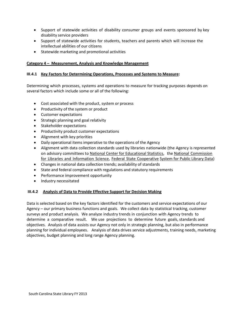- Support of statewide activities of disability consumer groups and events sponsored by key disability service providers
- Support of statewide activities for students, teachers and parents which will increase the intellectual abilities of our citizens
- Statewide marketing and promotional activities

# **Category 4 – Measurement, Analysis and Knowledge Management**

# **III.4.1 Key Factors for Determining Operations, Processes and Systems to Measure:**

Determining which processes, systems and operations to measure for tracking purposes depends on several factors which include some or all of the following:

- Cost associated with the product, system or process
- Productivity of the system or product
- Customer expectations
- Strategic planning and goal relativity
- Stakeholder expectations
- Productivity product customer expectations
- Alignment with key priorities
- Daily operational items imperative to the operations of the Agency
- Alignment with data collection standards used by libraries nationwide (the Agency is represented on advisory committees to National Center for [Educational](http://nces.ed.gov/) Statistics, the National [Commission](http://www.nclis.gov/) for Libraries and [Information](http://www.nclis.gov/) Science, Federal State [Cooperative](http://www.nclis.gov/statsurv/surveys/fscs/fscs.html) [System for](http://www.nclis.gov/statsurv/surveys/fscs/fscs.html) Public Library Data)
- Changes in national data collection trends; availability of standards
- State and federal compliance with regulations and statutory requirements
- Performance improvement opportunity
- Industry necessitated

#### **III.4.2 Analysis of Data to Provide Effective Support for Decision Making**

Data is selected based on the key factors identified for the customers and service expectations of our Agency – our primary business functions and goals. We collect data by statistical tracking, customer surveys and product analysis. We analyze industry trends in conjunction with Agency trends to determine a comparative result. We use projections to determine future goals, standards and objectives. Analysis of data assists our Agency not only in strategic planning, but also in performance planning for individual employees. Analysis of data drives service adjustments, training needs, marketing objectives, budget planning and long range Agency planning.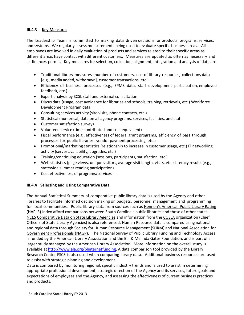#### **III.4.3 Key Measures**

The Leadership Team is committed to making data driven decisions for products, programs, services, and systems. We regularly assess measurements being used to evaluate specific business areas. All employees are involved in daily evaluation of products and services related to their specific areas as different areas have contact with different customers. Measures are updated as often as necessary and as finances permit. Key measures for selection, collection, alignment, integration and analysis of data are:

- Traditional library measures (number of customers, use of library resources, collections data [e.g., media added, withdrawn], customer transactions, etc.)
- Efficiency of business processes (e.g., EPMS data, staff development participation, employee feedback, etc.)
- Expert analysis by SCSL staff and external consultation
- Discus data (usage, cost avoidance for libraries and schools, training, retrievals, etc.) Workforce Development Program data
- Consulting services activity (site visits, phone contacts, etc.)
- Statistical (numerical) data on all agency programs, services, facilities, and staff
- Customer satisfaction surveys
- Volunteer service (time contributed and cost equivalent)
- Fiscal performance (e.g., effectiveness of federal grant programs, efficiency of pass through processes for public libraries, vendor payment processing, etc.)
- Promotional/marketing statistics (relationship to increase in customer usage, etc.) IT networking activity (server availability, upgrades, etc.)
- Training/continuing education (sessions, participants, satisfaction, etc.)
- Web statistics (page views, unique visitors, average visit length, visits, etc.) Literacy results (e.g., statewide summer reading participation)
- Cost effectiveness of programs/services

#### **III.4.4 Selecting and Using Comparative Data**

The Annual [Statistical](http://www.statelibrary.sc.gov/index.php?option=com_content&task=view&id=253&Itemid=651) Summary of comparative public library data is used by the Agency and other libraries to facilitate informed decision making on budgets, personnel management and programming for local communities. Public library data from sources such as Hennen's American Public [Library Rating](http://www.haplr-index.com/What%27sNew.htm) [\(HAPLR\)](http://www.haplr-index.com/What%27sNew.htm) Index afford comparisons between South Carolina's public libraries and those of other states. [NCES](http://nces.ed.gov/surveys/libraries/state.asp) Comparative Data on State [Library Agencies](http://nces.ed.gov/surveys/libraries/state.asp) and information from the [COSLA](http://www.cosla.org/) organization (Chief Officers of State Library Agencies) is also referenced. Human Resource data is compared using national and regional data through Society for Human Resource Management (SHRM) and National Association for Government Professionals (NAGP). The National Survey of Public Library Funding and Technology Access is funded by the American Library Association and the Bill & Melinda Gates Foundation, and is part of a larger study managed by the American Library Association. More information on the overall study is available a[t http://www.ala.org/plinternetfunding. A](http://www.ala.org/plinternetfunding) data comparison tool provided by the [Library](http://lrc.lis.uiuc.edu/web/dataTool.html) [Research](http://lrc.lis.uiuc.edu/web/dataTool.html) Center FSCS is also used when [comparing](http://lrc.lis.uiuc.edu/web/dataTool.html) library data. Additional business resources are used to assist with strategic planning and development.

Data is compared by monitoring regional, specific industry trends and is used to assist in determining appropriate professional development, strategic direction of the Agency and its services, future goals and expectations of employees and the Agency, and assessing the effectiveness of current business practices and products.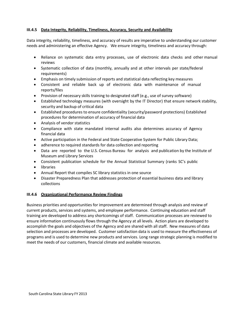# **III.4.5 Data Integrity, Reliability, Timeliness, Accuracy, Security and Availability**

Data integrity, reliability, timeliness, and accuracy of results are imperative to understanding our customer needs and administering an effective Agency. We ensure integrity, timeliness and accuracy through:

- Reliance on systematic data entry processes, use of electronic data checks and other manual reviews
- Systematic collection of data (monthly, annually and at other intervals per state/federal requirements)
- Emphasis on timely submission of reports and statistical data reflecting key measures
- Consistent and reliable back up of electronic data with maintenance of manual reports/files
- Provision of necessary skills training to designated staff (e.g., use of survey software)
- Established technology measures (with oversight by the IT Director) that ensure network stability, security and backup of critical data
- Established procedures to ensure confidentiality (security/password protections) Established procedures for determination of accuracy of financial data
- Analysis of vendor statistics
- Compliance with state mandated internal audits also determines accuracy of Agency financial data
- Active participation in the Federal and State Cooperative System for Public Library Data;
- adherence to required standards for data collection and reporting
- Data are reported to the U.S. Census Bureau for analysis and publication by the Institute of Museum and Library Services
- Consistent publication schedule for the Annual Statistical Summary (ranks SC's public
- libraries
- Annual Report that compiles SC library statistics in one source
- Disaster Preparedness Plan that addresses protection of essential business data and library collections

# **III.4.6 Organizational Performance Review Findings**

Business priorities and opportunities for improvement are determined through analysis and review of current products, services and systems, and employee performance. Continuing education and staff training are developed to address any shortcomings of staff. Communication processes are reviewed to ensure information continuously flows through the Agency at all levels. Action plans are developed to accomplish the goals and objectives of the Agency and are shared with all staff. New measures of data selection and processes are developed. Customer satisfaction data is used to measure the effectiveness of programs and is used to determine new products and services. Long range strategic planning is modified to meet the needs of our customers, financial climate and available resources.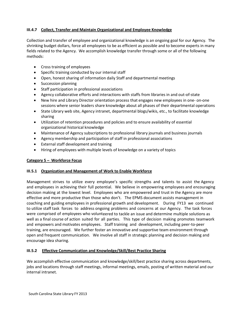# **III.4.7 Collect, Transfer and Maintain Organizational and Employee Knowledge**

Collection and transfer of employee and organizational knowledge is an ongoing goal for our Agency. The shrinking budget dollars, force all employees to be as efficient as possible and to become experts in many fields related to the Agency. We accomplish knowledge transfer through some or all of the following methods:

- Cross training of employees
- Specific training conducted by our internal staff
- Open, honest sharing of information daily Staff and departmental meetings
- Succession planning
- Staff participation in professional associations
- Agency collaborative efforts and interactions with staffs from libraries in and out-of-state
- New hire and Library Director orientation process that engages new employees in one- on-one sessions where senior leaders share knowledge about all phases of their departmental operations
- State Library web site, Agency intranet, departmental blogs/wikis, etc., to facilitate knowledge sharing
- Utilization of retention procedures and policies and to ensure availability of essential organizational historical knowledge
- Maintenance of Agency subscriptions to professional library journals and business journals
- Agency membership and participation of staff in professional associations
- External staff development and training
- Hiring of employees with multiple levels of knowledge on a variety of topics

# **Category 5 – Workforce Focus**

#### **III.5.1 Organization and Management of Work to Enable Workforce**

Management strives to utilize every employee's specific strengths and talents to assist the Agency and employees in achieving their full potential. We believe in empowering employees and encouraging decision making at the lowest level. Employees who are empowered and trust in the Agency are more effective and more productive than those who don't. The EPMS document assists management in coaching and guiding employees in professional growth and development. During FY13 we continued to utilize staff task forces to address ongoing problems and concerns at our Agency. The task forces were comprised of employees who volunteered to tackle an issue and determine multiple solutions as well as a final course of action suited for all parties. This type of decision making promotes teamwork and empowers and motivates employees. Staff training and development, including peer-to-peer training, are encouraged. We further foster an innovative and supportive team environment through open and frequent communication. We involve all staff in strategic planning and decision making and encourage idea sharing.

# **III.5.2 Effective Communication and Knowledge/Skill/Best Practice Sharing**

We accomplish effective communication and knowledge/skill/best practice sharing across departments, jobs and locations through staff meetings, informal meetings, emails, posting of written material and our internal intranet.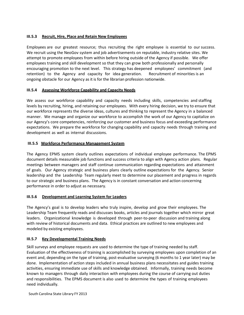# **III.5.3 Recruit, Hire, Place and Retain New Employees**

Employees are our greatest resource; thus recruiting the right employee is essential to our success. We recruit using the NeoGov system and job advertisements on reputable, industry relative sites. We attempt to promote employees from within before hiring outside of the Agency if possible. We offer employees training and skill development so that they can grow both professionally and personally encouraging promotion to the next level. This strategy has deepened employees' commitment (and retention) to the Agency and capacity for idea generation. Recruitment of minorities is an ongoing obstacle for our Agency as it is for the librarian profession nationwide.

# **III.5.4 Assessing Workforce Capability and Capacity Needs**

We assess our workforce capability and capacity needs including skills, competencies and staffing levels by recruiting, hiring, and retaining our employees. With every hiring decision, we try to ensure that our workforce represents the diverse ideas, cultures and thinking to represent the Agency in a balanced manner. We manage and organize our workforce to accomplish the work of our Agency to capitalize on our Agency's core competencies, reinforcing our customer and business focus and exceeding performance expectations. We prepare the workforce for changing capability and capacity needs through training and development as well as internal discussions.

# **III.5.5 Workforce Performance Management System**

The Agency EPMS system clearly outlines expectations of individual employee performance. The EPMS document details measurable job functions and success criteria to align with Agency action plans. Regular meetings between managers and staff continue communication regarding expectations and attainment of goals. Our Agency strategic and business plans clearly outline expectations for the Agency. Senior leadership and the Leadership Team regularly meet to determine our placement and progress in regards to our strategic and business plans. The Agency is in constant conversation and action concerning performance in order to adjust as necessary.

#### **III.5.6 Development and Learning System for Leaders**

The Agency's goal is to develop leaders who truly inspire, develop and grow their employees. The Leadership Team frequently reads and discusses books, articles and journals together which mirror great leaders. Organizational knowledge is developed through peer-to-peer discussion and training along with review of historical documents and data. Ethical practices are outlined to new employees and modeled by existing employees.

#### **III.5.7 Key Developmental Training Needs**

Skill surveys and employee requests are used to determine the type of training needed by staff. Evaluation of the effectiveness of training is accomplished by surveying employees upon completion of an event and, depending on the type of training, post-evaluative surveying (6 months to 1 year later) may be done. Implementation of action steps included in annual business plans necessitates and guides training activities, ensuring immediate use of skills and knowledge obtained. Informally, training needs become known to managers through daily interaction with employees during the course of carrying out duties and responsibilities. The EPMS document is also used to determine the types of training employees need individually.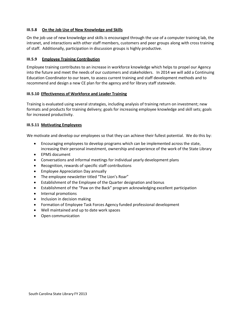# **III.5.8 On the Job Use of New Knowledge and Skills**

On the job use of new knowledge and skills is encouraged through the use of a computer training lab, the intranet, and interactions with other staff members, customers and peer groups along with cross training of staff. Additionally, participation in discussion groups is highly productive.

# **III.5.9 Employee Training Contribution**

Employee training contributes to an increase in workforce knowledge which helps to propel our Agency into the future and meet the needs of our customers and stakeholders. In 2014 we will add a Continuing Education Coordinator to our team, to assess current training and staff development methods and to recommend and design a new CE plan for the agency and for library staff statewide.

#### **III.5.10 Effectiveness of Workforce and Leader Training**

Training is evaluated using several strategies, including analysis of training return on investment; new formats and products for training delivery; goals for increasing employee knowledge and skill sets; goals for increased productivity.

# **III.5.11 Motivating Employees**

We motivate and develop our employees so that they can achieve their fullest potential. We do this by:

- Encouraging employees to develop programs which can be implemented across the state, increasing their personal investment, ownership and experience of the work of the State Library
- EPMS document
- Conversations and informal meetings for individual yearly development plans
- Recognition, rewards of specific staff contributions
- Employee Appreciation Day annually
- The employee newsletter titled "The Lion's Roar"
- Establishment of the Employee of the Quarter designation and bonus
- Establishment of the "Paw on the Back" program acknowledging excellent participation
- Internal promotions
- Inclusion in decision making
- Formation of Employee Task Forces Agency funded professional development
- Well maintained and up to date work spaces
- Open communication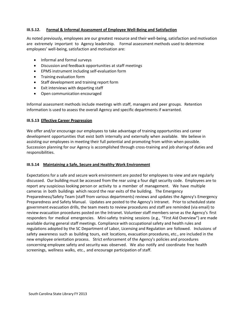# **III.5.12. Formal & Informal Assessment of Employee Well-Being and Satisfaction**

As noted previously, employees are our greatest resource and their well-being, satisfaction and motivation are extremely important to Agency leadership. Formal assessment methods used to determine employees' well-being, satisfaction and motivation are:

- Informal and formal surveys
- Discussion and feedback opportunities at staff meetings
- EPMS instrument including self-evaluation form
- Training evaluation form
- Staff development and training report form
- Exit interviews with departing staff
- Open communication encouraged

Informal assessment methods include meetings with staff, managers and peer groups. Retention information is used to assess the overall Agency and specific departments if warranted.

#### **III.5.13 Effective Career Progression**

We offer and/or encourage our employees to take advantage of training opportunities and career development opportunities that exist both internally and externally when available. We believe in assisting our employees in meeting their full potential and promoting from within when possible. Succession planning for our Agency is accomplished through cross-training and job sharing of duties and responsibilities.

#### **III.5.14 Maintaining a Safe, Secure and Healthy Work Environment**

Expectations for a safe and secure work environment are posted for employees to view and are regularly discussed. Our building must be accessed from the rear using a four digit security code. Employees are to report any suspicious looking person or activity to a member of management. We have multiple cameras in both buildings which record the rear exits of the building. The Emergency Preparedness/Safety Team (staff from various departments) reviews and updates the Agency's Emergency Preparedness and Safety Manual. Updates are posted to the Agency's Intranet. Prior to scheduled state government evacuation drills, the team meets to review procedures and staff are reminded (via email) to review evacuation procedures posted on the Intranet. Volunteer staff members serve as the Agency's first responders for medical emergencies. Mini-safety training sessions (e.g., "First Aid Overview") are made available during general staff meetings. Compliance with occupational safety and health rules and regulations adopted by the SC Department of Labor, Licensing and Regulation are followed. Inclusions of safety awareness such as building tours, exit locations, evacuation procedures, etc., are included in the new employee orientation process. Strict enforcement of the Agency's policies and procedures concerning employee safety and security was observed. We also notify and coordinate free health screenings, wellness walks, etc., and encourage participation of staff.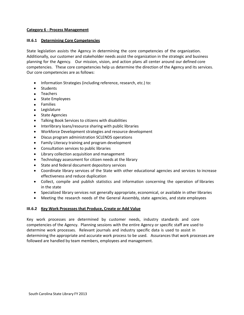#### **Category 6 - Process Management**

#### **III.6.1 Determining Core Competencies**

State legislation assists the Agency in determining the core competencies of the organization. Additionally, our customer and stakeholder needs assist the organization in the strategic and business planning for the Agency. Our mission, vision, and action plans all center around our defined core competencies. These core competencies help us determine the direction of the Agency and its services. Our core competencies are as follows:

- Information Strategies (including reference, research, etc.) to:
- Students
- Teachers
- State Employees
- Families
- **Legislature**
- State Agencies
- Talking Book Services to citizens with disabilities
- Interlibrary loans/resource sharing with public libraries
- Workforce Development strategies and resource development
- Discus program administration SCLENDS operations
- Family Literacy training and program development
- Consultation services to public libraries
- Library collection acquisition and management
- Technology assessment for citizen needs at the library
- State and federal document depository services
- Coordinate library services of the State with other educational agencies and services to increase effectiveness and reduce duplication
- Collect, compile and publish statistics and information concerning the operation of libraries in the state
- Specialized library services not generally appropriate, economical, or available in other libraries
- Meeting the research needs of the General Assembly, state agencies, and state employees

#### **III.6.2 Key Work Processes that Produce, Create or Add Value**

Key work processes are determined by customer needs, industry standards and core competencies of the Agency. Planning sessions with the entire Agency or specific staff are used to determine work processes. Relevant journals and industry specific data is used to assist in determining the appropriate and accurate work process to be used. Assurances that work processes are followed are handled by team members, employees and management.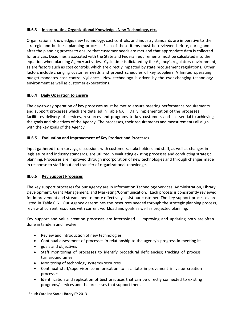# **III.6.3 Incorporating Organizational Knowledge, New Technology, etc.**

Organizational knowledge, new technology, cost controls, and industry standards are imperative to the strategic and business planning process. Each of these items must be reviewed before, during and after the planning process to ensure that customer needs are met and that appropriate data is collected for analysis. Deadlines associated with the State and Federal requirements must be calculated into the equation when planning Agency activities. Cycle time is dictated by the Agency's regulatory environment, as are factors such as cost controls, which are directly impacted by state procurement regulations. Other factors include changing customer needs and project schedules of key suppliers. A limited operating budget mandates cost control vigilance. New technology is driven by the ever-changing technology environment as well as customer expectations.

# **III.6.4 Daily Operation to Ensure**

The day-to-day operation of key processes must be met to ensure meeting performance requirements and support processes which are detailed in Table 6.6. Daily implementation of the processes facilitates delivery of services, resources and programs to key customers and is essential to achieving the goals and objectives of the Agency. The processes, their requirements and measurements all align with the key goals of the Agency.

# **III.6.5 Evaluation and Improvement of Key Product and Processes**

Input gathered from surveys, discussions with customers, stakeholders and staff, as well as changes in legislature and industry standards, are utilized in evaluating existing processes and conducting strategic planning. Processes are improved through incorporation of new technologies and through changes made in response to staff input and transfer of organizational knowledge.

# **III.6.6 Key Support Processes**

The key support processes for our Agency are in Information Technology Services, Administration, Library Development, Grant Management, and Marketing/Communication. Each process is consistently reviewed for improvement and streamlined to more effectively assist our customer. The key support processes are listed in Table 6.6. Our Agency determines the resources needed through the strategic planning process, review of current resources with current workload and goals as well as projected planning.

Key support and value creation processes are intertwined. Improving and updating both are often done in tandem and involve:

- Review and introduction of new technologies
- Continual assessment of processes in relationship to the agency's progress in meeting its
- goals and objectives
- Staff monitoring of processes to identify procedural deficiencies; tracking of process turnaround times
- Monitoring of technology systems/resources
- Continual staff/supervisor communication to facilitate improvement in value creation processes
- Identification and replication of best practices that can be directly connected to existing programs/services and the processes that support them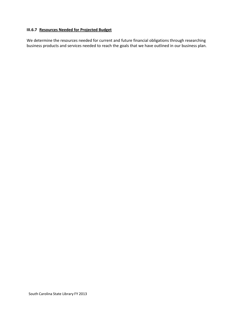#### **III.6.7 Resources Needed for Projected Budget**

We determine the resources needed for current and future financial obligations through researching business products and services needed to reach the goals that we have outlined in our business plan.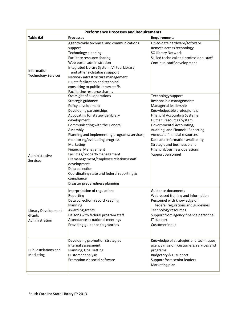|                                                   | <b>Performance Processes and Requirements</b>                                                                                                                                                                                                                                                                                                                                                                                                                                                                                                                     |                                                                                                                                                                                                                                                                                                                                                                        |
|---------------------------------------------------|-------------------------------------------------------------------------------------------------------------------------------------------------------------------------------------------------------------------------------------------------------------------------------------------------------------------------------------------------------------------------------------------------------------------------------------------------------------------------------------------------------------------------------------------------------------------|------------------------------------------------------------------------------------------------------------------------------------------------------------------------------------------------------------------------------------------------------------------------------------------------------------------------------------------------------------------------|
| Table 6.6                                         | <b>Processes</b>                                                                                                                                                                                                                                                                                                                                                                                                                                                                                                                                                  | <b>Requirements</b>                                                                                                                                                                                                                                                                                                                                                    |
| Information<br><b>Technology Services</b>         | Agency-wide technical and communications<br>support<br>Technology planning<br>Facilitate resource sharing<br>Web portal administration<br>Integrated Library System, Virtual Library<br>and other e-database support<br>Network infrastructure management<br>E-Rate facilitation and technical<br>consulting to public library staffs<br>Facilitating resource sharing<br>Oversight of all operations<br>Strategic guidance<br>Policy development<br>Developing partnerships<br>Advocating for statewide library<br>development<br>Communicating with the General | Up-to-date hardware/software<br>Remote access technology<br><b>SC Library Network</b><br>Skilled technical and professional staff<br>Continual staff development<br>Technology support<br>Responsible management;<br>Managerial leadership<br>Knowledgeable professionals<br><b>Financial Accounting Systems</b><br>Human Resources System<br>Governmental Accounting, |
| Administrative<br>Services                        | Assembly<br>Planning and implementing programs/services;<br>monitoring/evaluating progress<br>Marketing<br><b>Financial Management</b><br>Facilities/property management<br>HR management/employee relations/staff<br>development<br>Data collection<br>Coordinating state and federal reporting &<br>compliance<br>Disaster preparedness planning                                                                                                                                                                                                                | Auditing, and Financial Reporting<br>Adequate financial resources<br>Data and information availability<br>Strategic and business plans<br>Financial/business operations<br>Support personnel                                                                                                                                                                           |
| Library Development -<br>Grants<br>Administration | Interpretation of regulations<br>Reporting<br>Data collection; record keeping<br>Planning<br>Awarding grants<br>Liaisons with federal program staff<br>Attendance at national meetings<br>Providing guidance to grantees                                                                                                                                                                                                                                                                                                                                          | Guidance documents<br>Web-based training and information<br>Personnel with knowledge of<br>federal regulations and guidelines<br>Technology resources<br>Support from agency finance personnel<br>IT support<br>Customer input                                                                                                                                         |
| Public Relations and<br>Marketing                 | Developing promotion strategies<br>Internal assessment<br>Planning; Goal setting<br>Customer analysis<br>Promotion via social software                                                                                                                                                                                                                                                                                                                                                                                                                            | Knowledge of strategies and techniques,<br>agency mission, customers, services and<br>programs<br>Budgetary & IT support<br>Support from senior leaders<br>Marketing plan                                                                                                                                                                                              |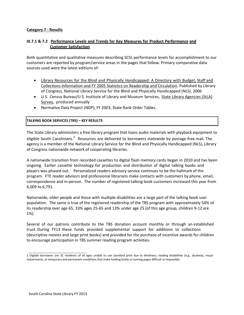# **Category 7 - Results**

# **III.7.1 & 7.2 Performance Levels and Trends for Key Measures for Product Performance and Customer Satisfaction**

Both quantitative and qualitative measures describing SCSL performance levels for accomplishment to our customers are reported by program/service areas in the pages that follow. Primary comparative data sources used were the latest editions of:

- Library Resources for the Blind and Physically Handicapped: A Directory with Budget, Staff and Collections Information and FY 2005 Statistics on Readership and Circulation. Published by Library of Congress, National Library Service for the Blind and Physically Handicapped (NLS), 2006
- U.S. Census Bureau/U.S. Institute of Library and Museum Services, State Library Agencies (StLA) Survey, produced annually
- Normative Data Project (NDP), FY 2003, State Rank Order Tables.

#### **TALKING BOOK SERVICES (TBS) – KEY RESULTS**

The State Library administers a free library program that loans audio materials with playback equipment to eligible South Carolinians.<sup>2</sup> Resources are delivered to borrowers statewide by postage-free mail. The agency is a member of the National Library Service for the Blind and Physically Handicapped (NLS), Library of Congress nationwide network of cooperating libraries.

A nationwide transition from recorded cassettes to digital flash memory cards began in 2010 and has been ongoing. Earlier cassette technology for production and distribution of digital talking books and players was phased out. Personalized readers advisory service continues to be the hallmark of the program. FTE reader advisors and professional librarians make contacts with customers by phone, email, correspondence and in-person. The number of registered talking book customers increased this year from 6,009 to 6,791.

Nationwide, older people and those with multiple disabilities are a large part of the talking book user population. The same is true of the registered readership of the TBS program with approximately 54% of its readership over age 65, 33% ages 25-65 and 13% under age 25 (of this age group, children 9-12 are 1%).

Several of our patrons contribute to the TBS donation account monthly or through an established trust. During FY13 these funds provided supplemental support for additions to collections (descriptive movies and large print books) and provided for the purchase of incentive awards for children to encourage participation in TBS summer reading program activities.

<sup>2</sup> Eligible borrowers are SC residents of all ages unable to use standard print due to blindness, reading disabilities (e.g., dyslexia), visual impairments, or temporary and permanent conditions that make holding books or turning pages difficult or impossible.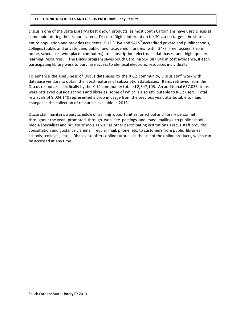#### **ELECTRONIC RESOURCES AND DISCUS PROGRAM – Key Results**

Discus is one of the State Library's best known products, as most South Carolinians have used Discus at some point during their school career. Discus ("Digital Information for SC Users) targets the state's entire population and provides residents, K-12 SCISA and SACS<sup>3</sup>-accredited private and public schools, colleges (public and private), and public and academic libraries with 24/7 free access (from home, school, or workplace computers) to subscription electronic databases and high quality learning resources. The Discus program saves South Carolina \$54,387,040 in cost avoidance, if each participating library were to purchase access to identical electronic resources individually.

To enhance the usefulness of Discus databases to the K-12 community, Discus staff work with database vendors to obtain the latest features of subscription databases. Items retrieved from the Discus resources specifically by the K-12 community totaled 8,347,105. An additional 657,035 items were retrieved outside schools and libraries, some of which is also attributable to K-12 users. Total retrievals of 9,004,140 represented a drop in usage from the previous year, attributable to major changes in the collection of resources available in 2013.

Discus staff maintains a busy schedule of training opportunities for school and library personnel throughout the year, promoted through web site postings and mass mailings to public school media specialists and private schools as well as other participating institutions. Discus staff provides consultation and guidance via email, regular mail, phone, etc. to customers from public libraries, schools, colleges, etc. Discus also offers online tutorials in the use of the online products, which can be accessed at any time.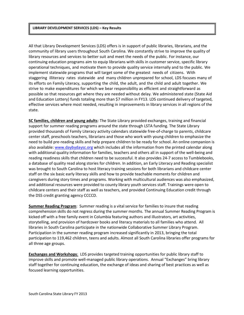#### **LIBRARY DEVELOPMENT SERVICES (LDS) – Key Results**

All that Library Development Services (LDS) offers is in support of public libraries, librarians, and the community of library users throughout South Carolina. We constantly strive to improve the quality of library resources and services to better suit and meet the needs of the public. For instance, our continuing education programs aim to equip librarians with skills in customer service, specific library operational techniques, and motivate them to provide quality service internally and to the public. We implement statewide programs that will target some of the greatest needs of citizens. With staggering illiteracy rates statewide and many children unprepared for school, LDS focuses many of its efforts on Family Literacy, supporting the child, the adult, and the child and adult together. We strive to make expenditures for which we bear responsibility as efficient and straightforward as possible so that resources get where they are needed without delay. We administered state (State Aid and Education Lottery) funds totaling more than \$7 million in FY13. LDS continued delivery of targeted, effective services where most needed, resulting in improvements in library services in all regions of the state.

**SC families, children and young adults**: The State Library provided exchanges, training and financial support for summer reading programs around the state through LSTA funding. The State Library provided thousands of Family Literacy activity calendars statewide free-of-charge to parents, childcare center staff, preschools teachers, librarians and those who work with young children to emphasize the need to build pre-reading skills and help prepare children to be ready for school. An online companion is also available: [www.daybydaysc.org](http://www.daybydaysc.org/) which includes all the information from the printed calendar along with additional quality information for families, teachers and others all in support of the well-being and reading readiness skills that children need to be successful. It also provides 24-7 access to Tumblebooks, a database of quality read along stories for children. In addition, an Early Literacy and Reading specialist was brought to South Carolina to host literacy training sessions for both librarians and childcare center staff on the six basic early literacy skills and how to provide teachable moments for children and caregivers during story times and programs. Working with multicultural audiences was also emphasized, and additional resources were provided to county library youth services staff. Trainings were open to childcare centers and their staff as well as teachers, and provided Continuing Education credit through the DSS credit granting agency CCCCD.

**Summer Reading Program**: Summer reading is a vital service for families to insure that reading comprehension skills do not regress during the summer months. The annual Summer Reading Program is kicked off with a free family event in Columbia featuring authors and illustrators, art activities, storytelling, and provision of hardcover books and literacy materials to all families who attend. All libraries in South Carolina participate in the nationwide Collaborative Summer Library Program. Participation in the summer reading program increased significantly in 2013, bringing the total participation to 119,462 children, teens and adults. Almost all South Carolina libraries offer programs for all three age groups.

**Exchanges and Workshops**: LDS provides targeted training opportunities for public library staff to improve skills and promote well-managed public library operations. Annual "Exchanges" bring library staff together for continuing education, the exchange of ideas and sharing of best practices as well as focused learning opportunities.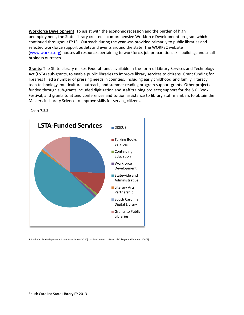**Workforce Development**: To assist with the economic recession and the burden of high unemployment, the State Library created a comprehensive Workforce Development program which continued throughout FY13. Outreach during the year was provided primarily to public libraries and selected workforce support outlets and events around the state. The WORKSC website [\(www.worksc.org\)](http://www.worksc.org/) houses all resources pertaining to workforce, job preparation, skill building, and small business outreach.

**Grants**: The State Library makes Federal funds available in the form of Library Services and Technology Act (LSTA) sub-grants, to enable public libraries to improve library services to citizens. Grant funding for libraries filled a number of pressing needs in counties, including early childhood and family literacy, teen technology, multicultural outreach, and summer reading program support grants. Other projects funded through sub-grants included digitization and staff training projects; support for the S.C. Book Festival, and grants to attend conferences and tuition assistance to library staff members to obtain the Masters in Library Science to improve skills for serving citizens.



Chart 7.3.3

3 South Carolina Independent School Association (SCISA) and Southern Association of Colleges and Schools (SCACS).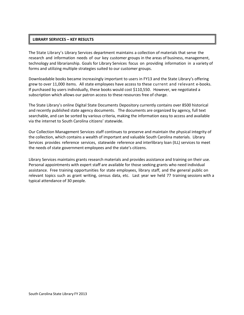# **LIBRARY SERVICES – KEY RESULTS**

The State Library's Library Services department maintains a collection of materials that serve the research and information needs of our key customer groups in the areas of business, management, technology and librarianship. Goals for Library Services focus on providing information in a variety of forms and utilizing multiple strategies suited to our customer groups.

Downloadable books became increasingly important to users in FY13 and the State Library's offering grew to over 11,000 items. All state employees have access to these current and relevant e-books. If purchased by users individually, these books would cost \$110,550. However, we negotiated a subscription which allows our patron access to these resources free of charge.

The State Library's online Digital State Documents Depository currently contains over 8500 historical and recently published state agency documents. The documents are organized by agency, full text searchable, and can be sorted by various criteria, making the information easy to access and available via the internet to South Carolina citizens' statewide.

Our Collection Management Services staff continues to preserve and maintain the physical integrity of the collection, which contains a wealth of important and valuable South Carolina materials. Library Services provides reference services, statewide reference and interlibrary loan (ILL) services to meet the needs of state government employees and the state's citizens.

Library Services maintains grants research materials and provides assistance and training on their use. Personal appointments with expert staff are available for those seeking grants who need individual assistance. Free training opportunities for state employees, library staff, and the general public on relevant topics such as grant writing, census data, etc. Last year we held 77 training sessions with a typical attendance of 30 people.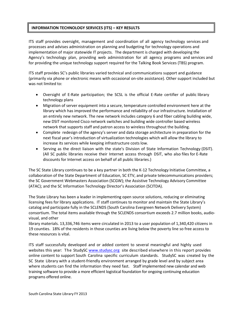# **INFORMATION TECHNOLOGY SERVICES (ITS) – KEY RESULTS**

ITS staff provides oversight, management and coordination of all agency technology services and processes and advises administration on planning and budgeting for technology operations and implementation of major statewide IT projects. The department is charged with developing the Agency's technology plan, providing web administration for all agency programs and services and for providing the unique technology support required for the Talking Book Services (TBS) program.

ITS staff provides SC's public libraries varied technical and communications support and guidance (primarily via phone or electronic means with occasional on-site assistance). Other support included but was not limited to:

- Oversight of E-Rate participation; the SCSL is the official E-Rate certifier of public library technology plans
- Migration of server equipment into a secure, temperature controlled environment here at the library which has improved the performance and reliability of our infrastructure. Installation of an entirely new network. The new network includes category 6 and fiber cabling building wide, new DSIT monitored Cisco network switches and building wide controller based wireless network that supports staff and patron access to wireless throughout the building.
- Complete redesign of the agency's server and data storage architecture in preparation for the next fiscal year's introduction of virtualization technologies which will allow the library to increase its services while keeping infrastructure costs low.
- Serving as the direct liaison with the state's Division of State Information Technology (DSIT). (All SC public libraries receive their Internet access through DSIT, who also files for E-Rate discounts for Internet access on behalf of all public libraries.)

The SC State Library continues to be a key partner in both the K-12 Technology Initiative Committee, a collaboration of the State Department of Education, SC ETV, and private telecommunications providers; the SC Government Webmasters Association (SCGW); the Assistive Technology Advisory Committee (ATAC); and the SC Information Technology Director's Association (SCITDA).

The State Library has been a leader in implementing open source solutions, reducing or eliminating licensing fees for library applications. IT staff continues to monitor and maintain the State Library's catalog and participate fully in the SCLENDS (South Carolina Evergreen Network Delivery System) consortium. The total items available through the SCLENDS consortium exceeds 2.7 million books, audiovisual, and other

library materials. 13,336,746 items were circulated in 2013 to a user population of 1,340,420 citizens in 19 counties. 18% of the residents in those counties are living below the poverty line so free access to these resources is vital.

ITS staff successfully developed and or added content to several meaningful and highly used websites this year: The StudySC [www.studysc.org](http://www.studysc.org/) site described elsewhere in this report provides online content to support South Carolina specific curriculum standards. StudySC was created by the SC State Library with a student-friendly environment arranged by grade level and by subject area where students can find the information they need fast. Staff implemented new calendar and web training software to provide a more efficient logistical foundation for ongoing continuing education programs offered online.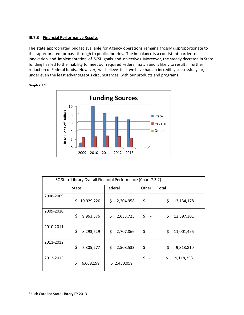#### **III.7.3 Financial Performance Results**

The state appropriated budget available for Agency operations remains grossly disproportionate to that appropriated for pass-through to public libraries. The imbalance is a consistent barrier to innovation and implementation of SCSL goals and objectives. Moreover, the steady decrease in State funding has led to the inability to meet our required Federal match and is likely to result in further reduction of Federal funds. However, we believe that we have had an incredibly successful year, under even the least advantageous circumstances, with our products and programs.



**Graph 7.3.1**

| SC State Library Overall Financial Performance (Chart 7.3.2) |                  |                 |                                    |                  |
|--------------------------------------------------------------|------------------|-----------------|------------------------------------|------------------|
|                                                              | State            | Federal         | Other                              | Total            |
| 2008-2009                                                    | \$<br>10,929,220 | \$<br>2,204,958 | \$                                 | \$<br>13,134,178 |
| 2009-2010                                                    | \$<br>9,963,576  | \$<br>2,633,725 | \$                                 | \$<br>12,597,301 |
| 2010-2011                                                    | \$<br>8,293,629  | \$<br>2,707,866 | \$<br>$\qquad \qquad \blacksquare$ | \$<br>11,001,495 |
| 2011-2012                                                    | \$<br>7,305,277  | \$<br>2,508,533 | \$                                 | \$<br>9,813,810  |
| 2012-2013                                                    | \$<br>6,668,199  | \$2,450,059     | \$                                 | \$<br>9,118,258  |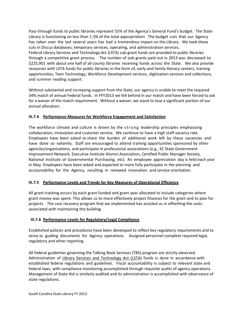Pass-through funds to public libraries represent 55% of the Agency's General Fund's budget. The State Library is functioning on less than 1.3% of the total appropriation. The budget cuts that our Agency has taken over the last several years has had a tremendous impact on the Library. We took these cuts in Discus databases, temporary services, operating, and administration services. Federal Library Services and Technology Act (LSTA) sub-grant funds are provided to public libraries through a competitive grant process. The number of sub-grants paid out in 2013 was decreased to \$225,901 with about one half of all county libraries receiving funds across the State. We also provide resources with LSTA funds for public libraries in the form of, early and family literacy centers, training opportunities, Teen Technology, Workforce Development services, digitization services and collections, and summer reading support.

Without substantial and increasing support from the State, our agency is unable to meet the required 34% match of annual Federal funds. In FFY2013 we fell behind in our match and have been forced to ask for a waiver of the match requirement. Without a waiver, we stand to lose a significant portion of our annual allocation.

# **III.7.4 Performance Measures for Workforce Engagement and Satisfaction**

The workforce climate and culture is driven by the strong leadership principles emphasizing collaboration, innovation and customer service. We continue to have a high staff vacancy rate. Employees have been asked to share the burden of additional work left by these vacancies and have done so valiantly. Staff are encouraged to attend training opportunities sponsored by other agencies/organizations, and participate in professional associations (e.g., SC State Government Improvement Network, Executive Institute Alumni Association, Certified Public Manager Society, National Institute of Governmental Purchasing, etc). An employee appreciation day is held each year in May. Employees have been asked and expected to more fully participate in the planning and accountability for the Agency, resulting in renewed innovation and service orientation.

#### **III.7.5 Performance Levels and Trends for Key Measures of Operational Efficiency**

All grant tracking occurs by each grant funded and grant year allocated to include categories where grant money was spent. This allows us to more effectively project finances for the grant and to plan for projects. The cost recovery program that we implemented has assisted us in offsetting the costs associated with maintaining the building.

#### **III.7.6 Performance Levels for Regulatory/Legal Compliance**

Established policies and procedures have been developed to reflect key regulatory requirements and to serve as guiding documents for Agency operations. Assigned personnel complete required legal, regulatory and other reporting.

All federal guidelines governing the Talking Book Services (TBS) program are strictly observed. Administration of Library Services and [Technology](http://www.statelibrary.sc.gov/index.php?option=com_content&task=view&id=255&Itemid=662) Act (LSTA) funds is done in accordance with established federal regulations and guidelines. Fiscal accountability is subject to relevant state and federal laws, with compliance monitoring accomplished through requisite audits of agency operations. Management of State Aid is similarly audited and its administration is accomplished with observance of state regulations.